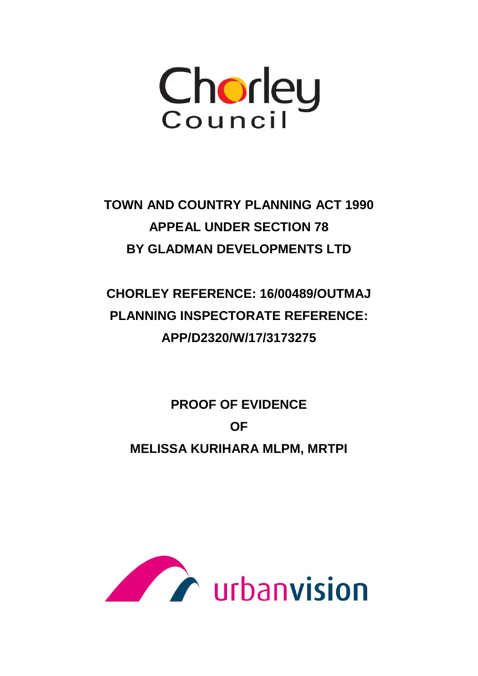

**TOWN AND COUNTRY PLANNING ACT 1990 APPEAL UNDER SECTION 78 BY GLADMAN DEVELOPMENTS LTD** 

**CHORLEY REFERENCE: 16/00489/OUTMAJ PLANNING INSPECTORATE REFERENCE: APP/D2320/W/17/3173275** 

**PROOF OF EVIDENCE OF MELISSA KURIHARA MLPM, MRTPI** 

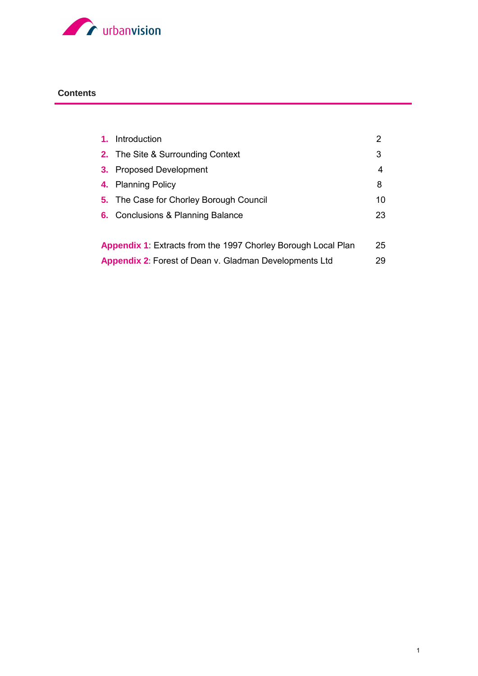

### **Contents**

| $\mathbf{1}$ .                                                       | Introduction                                   | 2  |
|----------------------------------------------------------------------|------------------------------------------------|----|
|                                                                      | <b>2.</b> The Site & Surrounding Context       | 3  |
| 3.                                                                   | <b>Proposed Development</b>                    | 4  |
|                                                                      | 4. Planning Policy                             | 8  |
|                                                                      | <b>5.</b> The Case for Chorley Borough Council | 10 |
|                                                                      | <b>6.</b> Conclusions & Planning Balance       | 23 |
|                                                                      |                                                |    |
| <b>Appendix 1:</b> Extracts from the 1997 Chorley Borough Local Plan |                                                | 25 |
| <b>Appendix 2: Forest of Dean v. Gladman Developments Ltd</b>        |                                                | 29 |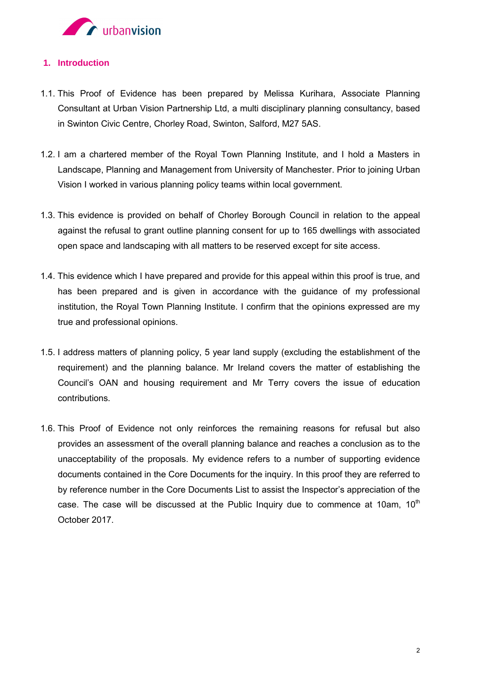

### **1. Introduction**

- 1.1. This Proof of Evidence has been prepared by Melissa Kurihara, Associate Planning Consultant at Urban Vision Partnership Ltd, a multi disciplinary planning consultancy, based in Swinton Civic Centre, Chorley Road, Swinton, Salford, M27 5AS.
- 1.2. I am a chartered member of the Royal Town Planning Institute, and I hold a Masters in Landscape, Planning and Management from University of Manchester. Prior to joining Urban Vision I worked in various planning policy teams within local government.
- 1.3. This evidence is provided on behalf of Chorley Borough Council in relation to the appeal against the refusal to grant outline planning consent for up to 165 dwellings with associated open space and landscaping with all matters to be reserved except for site access.
- 1.4. This evidence which I have prepared and provide for this appeal within this proof is true, and has been prepared and is given in accordance with the guidance of my professional institution, the Royal Town Planning Institute. I confirm that the opinions expressed are my true and professional opinions.
- 1.5. I address matters of planning policy, 5 year land supply (excluding the establishment of the requirement) and the planning balance. Mr Ireland covers the matter of establishing the Council's OAN and housing requirement and Mr Terry covers the issue of education contributions.
- 1.6. This Proof of Evidence not only reinforces the remaining reasons for refusal but also provides an assessment of the overall planning balance and reaches a conclusion as to the unacceptability of the proposals. My evidence refers to a number of supporting evidence documents contained in the Core Documents for the inquiry. In this proof they are referred to by reference number in the Core Documents List to assist the Inspector's appreciation of the case. The case will be discussed at the Public Inquiry due to commence at 10am, 10<sup>th</sup> October 2017.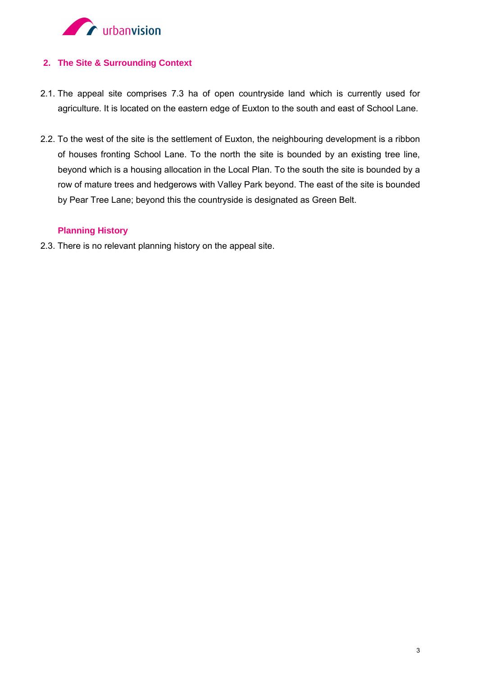

### **2. The Site & Surrounding Context**

- 2.1. The appeal site comprises 7.3 ha of open countryside land which is currently used for agriculture. It is located on the eastern edge of Euxton to the south and east of School Lane.
- 2.2. To the west of the site is the settlement of Euxton, the neighbouring development is a ribbon of houses fronting School Lane. To the north the site is bounded by an existing tree line, beyond which is a housing allocation in the Local Plan. To the south the site is bounded by a row of mature trees and hedgerows with Valley Park beyond. The east of the site is bounded by Pear Tree Lane; beyond this the countryside is designated as Green Belt.

### **Planning History**

2.3. There is no relevant planning history on the appeal site.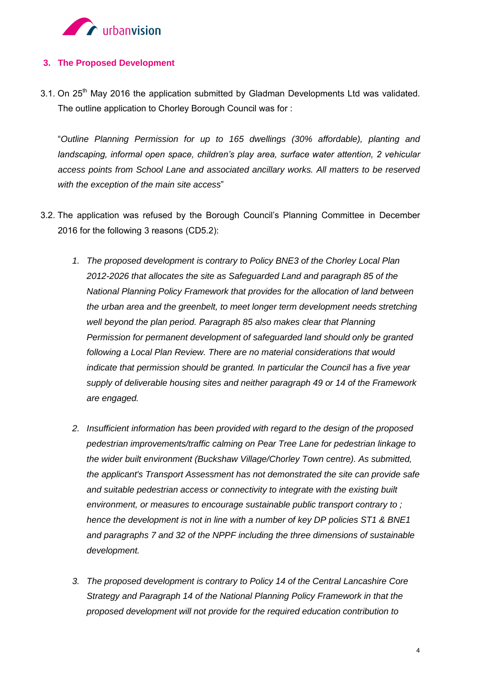

### **3. The Proposed Development**

 $3.1$ . On 25<sup>th</sup> May 2016 the application submitted by Gladman Developments Ltd was validated. The outline application to Chorley Borough Council was for :

"*Outline Planning Permission for up to 165 dwellings (30% affordable), planting and landscaping, informal open space, children's play area, surface water attention, 2 vehicular access points from School Lane and associated ancillary works. All matters to be reserved with the exception of the main site access*"

- 3.2. The application was refused by the Borough Council's Planning Committee in December 2016 for the following 3 reasons (CD5.2):
	- *1. The proposed development is contrary to Policy BNE3 of the Chorley Local Plan 2012-2026 that allocates the site as Safeguarded Land and paragraph 85 of the National Planning Policy Framework that provides for the allocation of land between the urban area and the greenbelt, to meet longer term development needs stretching well beyond the plan period. Paragraph 85 also makes clear that Planning Permission for permanent development of safeguarded land should only be granted following a Local Plan Review. There are no material considerations that would indicate that permission should be granted. In particular the Council has a five year supply of deliverable housing sites and neither paragraph 49 or 14 of the Framework are engaged.*
	- *2. Insufficient information has been provided with regard to the design of the proposed pedestrian improvements/traffic calming on Pear Tree Lane for pedestrian linkage to the wider built environment (Buckshaw Village/Chorley Town centre). As submitted, the applicant's Transport Assessment has not demonstrated the site can provide safe and suitable pedestrian access or connectivity to integrate with the existing built environment, or measures to encourage sustainable public transport contrary to ; hence the development is not in line with a number of key DP policies ST1 & BNE1 and paragraphs 7 and 32 of the NPPF including the three dimensions of sustainable development.*
	- *3. The proposed development is contrary to Policy 14 of the Central Lancashire Core Strategy and Paragraph 14 of the National Planning Policy Framework in that the proposed development will not provide for the required education contribution to*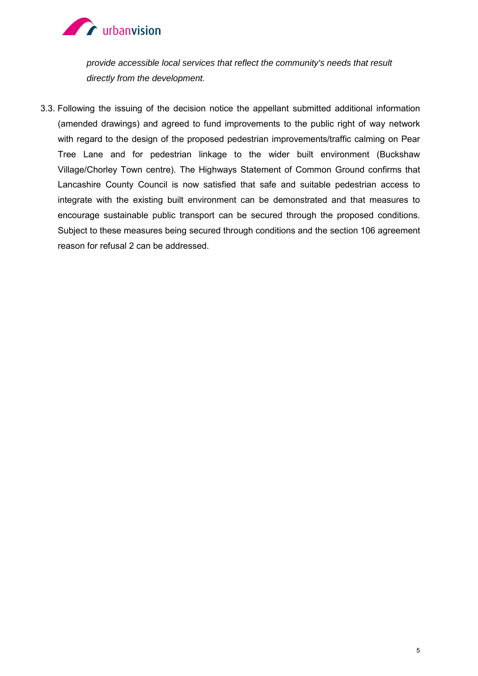

*provide accessible local services that reflect the community's needs that result directly from the development.* 

3.3. Following the issuing of the decision notice the appellant submitted additional information (amended drawings) and agreed to fund improvements to the public right of way network with regard to the design of the proposed pedestrian improvements/traffic calming on Pear Tree Lane and for pedestrian linkage to the wider built environment (Buckshaw Village/Chorley Town centre). The Highways Statement of Common Ground confirms that Lancashire County Council is now satisfied that safe and suitable pedestrian access to integrate with the existing built environment can be demonstrated and that measures to encourage sustainable public transport can be secured through the proposed conditions. Subject to these measures being secured through conditions and the section 106 agreement reason for refusal 2 can be addressed.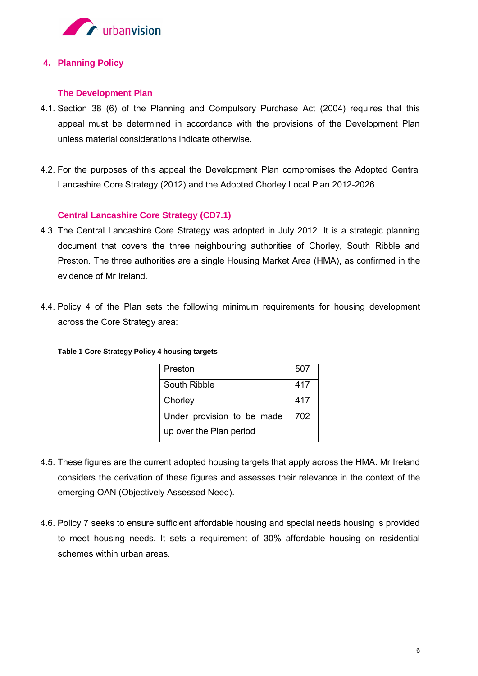

### **4. Planning Policy**

### **The Development Plan**

- 4.1. Section 38 (6) of the Planning and Compulsory Purchase Act (2004) requires that this appeal must be determined in accordance with the provisions of the Development Plan unless material considerations indicate otherwise.
- 4.2. For the purposes of this appeal the Development Plan compromises the Adopted Central Lancashire Core Strategy (2012) and the Adopted Chorley Local Plan 2012-2026.

### **Central Lancashire Core Strategy (CD7.1)**

- 4.3. The Central Lancashire Core Strategy was adopted in July 2012. It is a strategic planning document that covers the three neighbouring authorities of Chorley, South Ribble and Preston. The three authorities are a single Housing Market Area (HMA), as confirmed in the evidence of Mr Ireland.
- 4.4. Policy 4 of the Plan sets the following minimum requirements for housing development across the Core Strategy area:

#### **Table 1 Core Strategy Policy 4 housing targets**

| Preston                    | 507 |
|----------------------------|-----|
| South Ribble               | 417 |
| Chorley                    | 417 |
| Under provision to be made | 702 |
| up over the Plan period    |     |

- 4.5. These figures are the current adopted housing targets that apply across the HMA. Mr Ireland considers the derivation of these figures and assesses their relevance in the context of the emerging OAN (Objectively Assessed Need).
- 4.6. Policy 7 seeks to ensure sufficient affordable housing and special needs housing is provided to meet housing needs. It sets a requirement of 30% affordable housing on residential schemes within urban areas.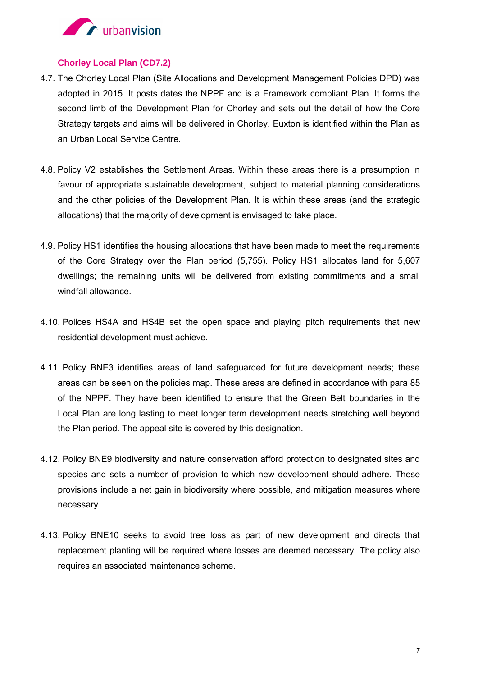

### **Chorley Local Plan (CD7.2)**

- 4.7. The Chorley Local Plan (Site Allocations and Development Management Policies DPD) was adopted in 2015. It posts dates the NPPF and is a Framework compliant Plan. It forms the second limb of the Development Plan for Chorley and sets out the detail of how the Core Strategy targets and aims will be delivered in Chorley. Euxton is identified within the Plan as an Urban Local Service Centre.
- 4.8. Policy V2 establishes the Settlement Areas. Within these areas there is a presumption in favour of appropriate sustainable development, subject to material planning considerations and the other policies of the Development Plan. It is within these areas (and the strategic allocations) that the majority of development is envisaged to take place.
- 4.9. Policy HS1 identifies the housing allocations that have been made to meet the requirements of the Core Strategy over the Plan period (5,755). Policy HS1 allocates land for 5,607 dwellings; the remaining units will be delivered from existing commitments and a small windfall allowance.
- 4.10. Polices HS4A and HS4B set the open space and playing pitch requirements that new residential development must achieve.
- 4.11. Policy BNE3 identifies areas of land safeguarded for future development needs; these areas can be seen on the policies map. These areas are defined in accordance with para 85 of the NPPF. They have been identified to ensure that the Green Belt boundaries in the Local Plan are long lasting to meet longer term development needs stretching well beyond the Plan period. The appeal site is covered by this designation.
- 4.12. Policy BNE9 biodiversity and nature conservation afford protection to designated sites and species and sets a number of provision to which new development should adhere. These provisions include a net gain in biodiversity where possible, and mitigation measures where necessary.
- 4.13. Policy BNE10 seeks to avoid tree loss as part of new development and directs that replacement planting will be required where losses are deemed necessary. The policy also requires an associated maintenance scheme.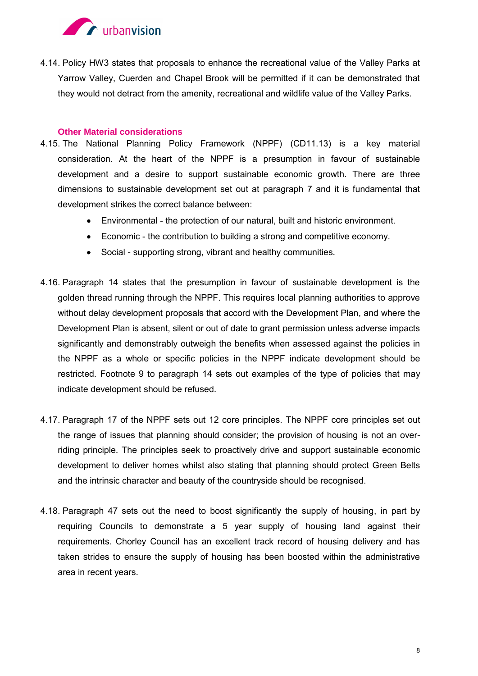

4.14. Policy HW3 states that proposals to enhance the recreational value of the Valley Parks at Yarrow Valley, Cuerden and Chapel Brook will be permitted if it can be demonstrated that they would not detract from the amenity, recreational and wildlife value of the Valley Parks.

### **Other Material considerations**

- 4.15. The National Planning Policy Framework (NPPF) (CD11.13) is a key material consideration. At the heart of the NPPF is a presumption in favour of sustainable development and a desire to support sustainable economic growth. There are three dimensions to sustainable development set out at paragraph 7 and it is fundamental that development strikes the correct balance between:
	- Environmental the protection of our natural, built and historic environment.
	- Economic the contribution to building a strong and competitive economy.
	- Social supporting strong, vibrant and healthy communities.
- 4.16. Paragraph 14 states that the presumption in favour of sustainable development is the golden thread running through the NPPF. This requires local planning authorities to approve without delay development proposals that accord with the Development Plan, and where the Development Plan is absent, silent or out of date to grant permission unless adverse impacts significantly and demonstrably outweigh the benefits when assessed against the policies in the NPPF as a whole or specific policies in the NPPF indicate development should be restricted. Footnote 9 to paragraph 14 sets out examples of the type of policies that may indicate development should be refused.
- 4.17. Paragraph 17 of the NPPF sets out 12 core principles. The NPPF core principles set out the range of issues that planning should consider; the provision of housing is not an overriding principle. The principles seek to proactively drive and support sustainable economic development to deliver homes whilst also stating that planning should protect Green Belts and the intrinsic character and beauty of the countryside should be recognised.
- 4.18. Paragraph 47 sets out the need to boost significantly the supply of housing, in part by requiring Councils to demonstrate a 5 year supply of housing land against their requirements. Chorley Council has an excellent track record of housing delivery and has taken strides to ensure the supply of housing has been boosted within the administrative area in recent years.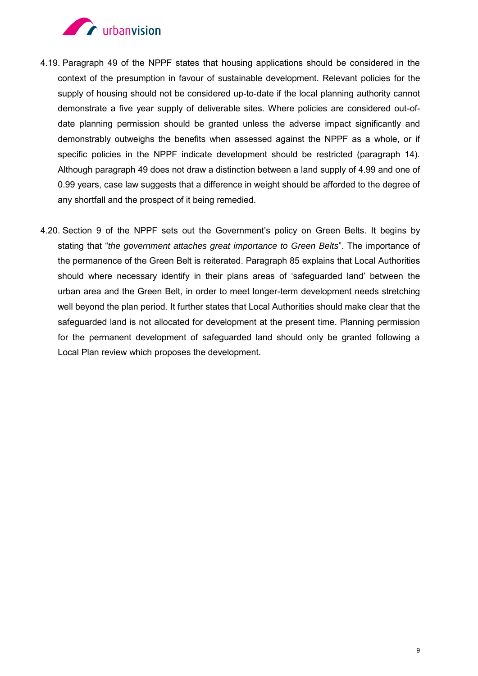

- 4.19. Paragraph 49 of the NPPF states that housing applications should be considered in the context of the presumption in favour of sustainable development. Relevant policies for the supply of housing should not be considered up-to-date if the local planning authority cannot demonstrate a five year supply of deliverable sites. Where policies are considered out-ofdate planning permission should be granted unless the adverse impact significantly and demonstrably outweighs the benefits when assessed against the NPPF as a whole, or if specific policies in the NPPF indicate development should be restricted (paragraph 14). Although paragraph 49 does not draw a distinction between a land supply of 4.99 and one of 0.99 years, case law suggests that a difference in weight should be afforded to the degree of any shortfall and the prospect of it being remedied.
- 4.20. Section 9 of the NPPF sets out the Government's policy on Green Belts. It begins by stating that "*the government attaches great importance to Green Belts*". The importance of the permanence of the Green Belt is reiterated. Paragraph 85 explains that Local Authorities should where necessary identify in their plans areas of 'safeguarded land' between the urban area and the Green Belt, in order to meet longer-term development needs stretching well beyond the plan period. It further states that Local Authorities should make clear that the safeguarded land is not allocated for development at the present time. Planning permission for the permanent development of safeguarded land should only be granted following a Local Plan review which proposes the development.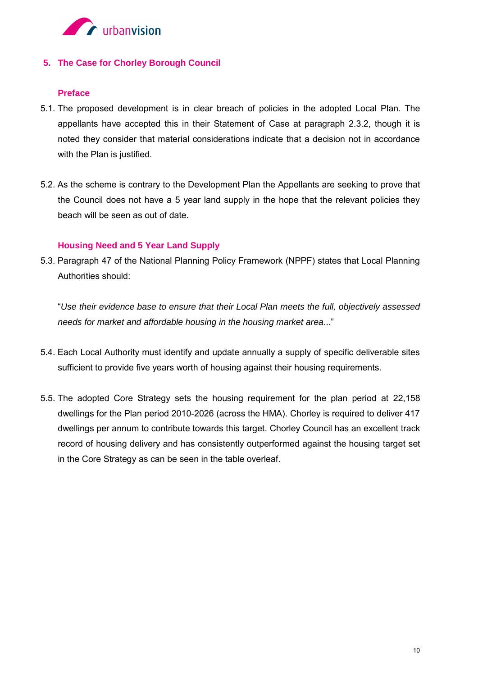

### **5. The Case for Chorley Borough Council**

### **Preface**

- 5.1. The proposed development is in clear breach of policies in the adopted Local Plan. The appellants have accepted this in their Statement of Case at paragraph 2.3.2, though it is noted they consider that material considerations indicate that a decision not in accordance with the Plan is justified.
- 5.2. As the scheme is contrary to the Development Plan the Appellants are seeking to prove that the Council does not have a 5 year land supply in the hope that the relevant policies they beach will be seen as out of date.

### **Housing Need and 5 Year Land Supply**

5.3. Paragraph 47 of the National Planning Policy Framework (NPPF) states that Local Planning Authorities should:

"*Use their evidence base to ensure that their Local Plan meets the full, objectively assessed needs for market and affordable housing in the housing market area*..."

- 5.4. Each Local Authority must identify and update annually a supply of specific deliverable sites sufficient to provide five years worth of housing against their housing requirements.
- 5.5. The adopted Core Strategy sets the housing requirement for the plan period at 22,158 dwellings for the Plan period 2010-2026 (across the HMA). Chorley is required to deliver 417 dwellings per annum to contribute towards this target. Chorley Council has an excellent track record of housing delivery and has consistently outperformed against the housing target set in the Core Strategy as can be seen in the table overleaf.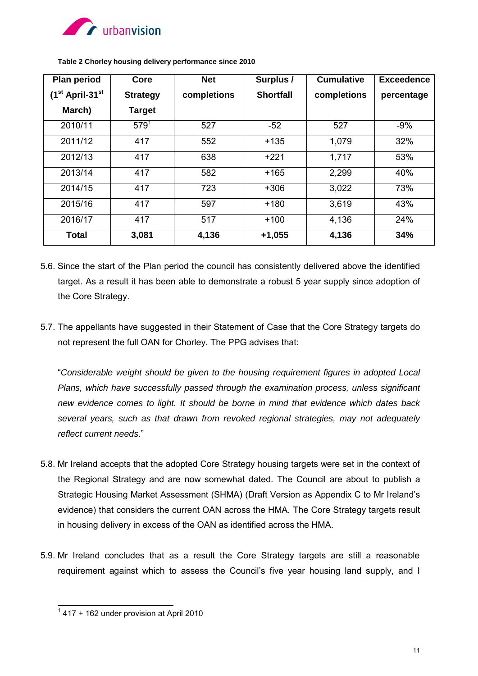

| <b>Plan period</b>            | Core            | <b>Net</b>  | Surplus /        | <b>Cumulative</b> | <b>Exceedence</b> |
|-------------------------------|-----------------|-------------|------------------|-------------------|-------------------|
| $(1st$ April-31 <sup>st</sup> | <b>Strategy</b> | completions | <b>Shortfall</b> | completions       | percentage        |
| March)                        | <b>Target</b>   |             |                  |                   |                   |
| 2010/11                       | $579^{1}$       | 527         | $-52$            | 527               | $-9%$             |
| 2011/12                       | 417             | 552         | $+135$           | 1,079             | 32%               |
| 2012/13                       | 417             | 638         | $+221$           | 1,717             | 53%               |
| 2013/14                       | 417             | 582         | $+165$           | 2,299             | 40%               |
| 2014/15                       | 417             | 723         | $+306$           | 3,022             | 73%               |
| 2015/16                       | 417             | 597         | $+180$           | 3,619             | 43%               |
| 2016/17                       | 417             | 517         | $+100$           | 4,136             | 24%               |
| <b>Total</b>                  | 3,081           | 4,136       | $+1,055$         | 4,136             | 34%               |

**Table 2 Chorley housing delivery performance since 2010** 

- 5.6. Since the start of the Plan period the council has consistently delivered above the identified target. As a result it has been able to demonstrate a robust 5 year supply since adoption of the Core Strategy.
- 5.7. The appellants have suggested in their Statement of Case that the Core Strategy targets do not represent the full OAN for Chorley. The PPG advises that:

"*Considerable weight should be given to the housing requirement figures in adopted Local Plans, which have successfully passed through the examination process, unless significant new evidence comes to light. It should be borne in mind that evidence which dates back several years, such as that drawn from revoked regional strategies, may not adequately reflect current needs*."

- 5.8. Mr Ireland accepts that the adopted Core Strategy housing targets were set in the context of the Regional Strategy and are now somewhat dated. The Council are about to publish a Strategic Housing Market Assessment (SHMA) (Draft Version as Appendix C to Mr Ireland's evidence) that considers the current OAN across the HMA. The Core Strategy targets result in housing delivery in excess of the OAN as identified across the HMA.
- 5.9. Mr Ireland concludes that as a result the Core Strategy targets are still a reasonable requirement against which to assess the Council's five year housing land supply, and I

 $\frac{1}{1}$  417 + 162 under provision at April 2010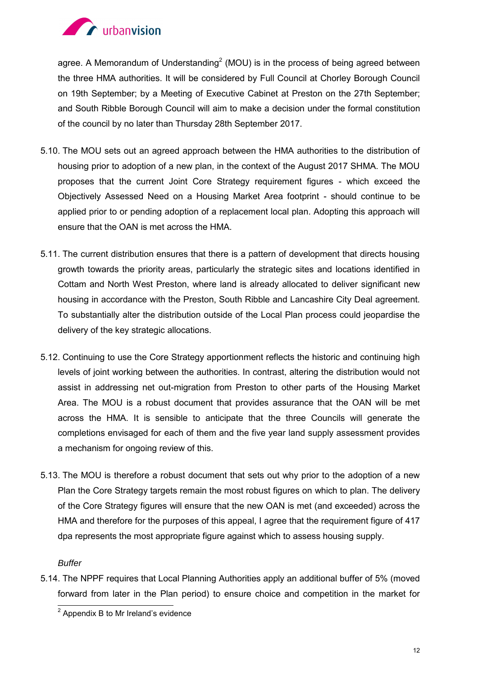

agree. A Memorandum of Understanding<sup>2</sup> (MOU) is in the process of being agreed between the three HMA authorities. It will be considered by Full Council at Chorley Borough Council on 19th September; by a Meeting of Executive Cabinet at Preston on the 27th September; and South Ribble Borough Council will aim to make a decision under the formal constitution of the council by no later than Thursday 28th September 2017.

- 5.10. The MOU sets out an agreed approach between the HMA authorities to the distribution of housing prior to adoption of a new plan, in the context of the August 2017 SHMA. The MOU proposes that the current Joint Core Strategy requirement figures - which exceed the Objectively Assessed Need on a Housing Market Area footprint - should continue to be applied prior to or pending adoption of a replacement local plan. Adopting this approach will ensure that the OAN is met across the HMA.
- 5.11. The current distribution ensures that there is a pattern of development that directs housing growth towards the priority areas, particularly the strategic sites and locations identified in Cottam and North West Preston, where land is already allocated to deliver significant new housing in accordance with the Preston, South Ribble and Lancashire City Deal agreement. To substantially alter the distribution outside of the Local Plan process could jeopardise the delivery of the key strategic allocations.
- 5.12. Continuing to use the Core Strategy apportionment reflects the historic and continuing high levels of joint working between the authorities. In contrast, altering the distribution would not assist in addressing net out-migration from Preston to other parts of the Housing Market Area. The MOU is a robust document that provides assurance that the OAN will be met across the HMA. It is sensible to anticipate that the three Councils will generate the completions envisaged for each of them and the five year land supply assessment provides a mechanism for ongoing review of this.
- 5.13. The MOU is therefore a robust document that sets out why prior to the adoption of a new Plan the Core Strategy targets remain the most robust figures on which to plan. The delivery of the Core Strategy figures will ensure that the new OAN is met (and exceeded) across the HMA and therefore for the purposes of this appeal, I agree that the requirement figure of 417 dpa represents the most appropriate figure against which to assess housing supply.

*Buffer* 

5.14. The NPPF requires that Local Planning Authorities apply an additional buffer of 5% (moved forward from later in the Plan period) to ensure choice and competition in the market for

 2 Appendix B to Mr Ireland's evidence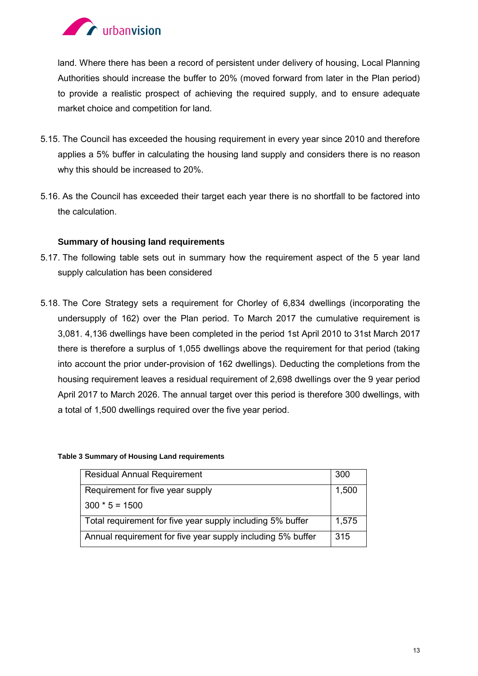

land. Where there has been a record of persistent under delivery of housing, Local Planning Authorities should increase the buffer to 20% (moved forward from later in the Plan period) to provide a realistic prospect of achieving the required supply, and to ensure adequate market choice and competition for land.

- 5.15. The Council has exceeded the housing requirement in every year since 2010 and therefore applies a 5% buffer in calculating the housing land supply and considers there is no reason why this should be increased to 20%.
- 5.16. As the Council has exceeded their target each year there is no shortfall to be factored into the calculation.

### **Summary of housing land requirements**

- 5.17. The following table sets out in summary how the requirement aspect of the 5 year land supply calculation has been considered
- 5.18. The Core Strategy sets a requirement for Chorley of 6,834 dwellings (incorporating the undersupply of 162) over the Plan period. To March 2017 the cumulative requirement is 3,081. 4,136 dwellings have been completed in the period 1st April 2010 to 31st March 2017 there is therefore a surplus of 1,055 dwellings above the requirement for that period (taking into account the prior under-provision of 162 dwellings). Deducting the completions from the housing requirement leaves a residual requirement of 2,698 dwellings over the 9 year period April 2017 to March 2026. The annual target over this period is therefore 300 dwellings, with a total of 1,500 dwellings required over the five year period.

### **Table 3 Summary of Housing Land requirements**

| <b>Residual Annual Requirement</b>                          | 300   |
|-------------------------------------------------------------|-------|
| Requirement for five year supply                            | 1,500 |
| $300 * 5 = 1500$                                            |       |
| Total requirement for five year supply including 5% buffer  | 1,575 |
| Annual requirement for five year supply including 5% buffer | 315   |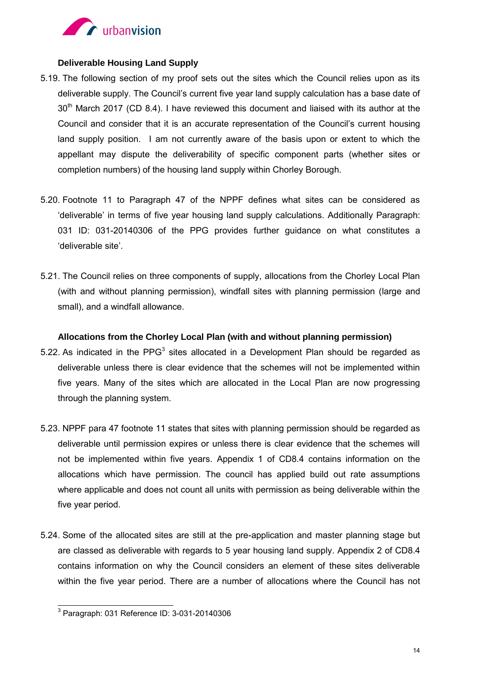

### **Deliverable Housing Land Supply**

- 5.19. The following section of my proof sets out the sites which the Council relies upon as its deliverable supply. The Council's current five year land supply calculation has a base date of 30<sup>th</sup> March 2017 (CD 8.4). I have reviewed this document and liaised with its author at the Council and consider that it is an accurate representation of the Council's current housing land supply position. I am not currently aware of the basis upon or extent to which the appellant may dispute the deliverability of specific component parts (whether sites or completion numbers) of the housing land supply within Chorley Borough.
- 5.20. Footnote 11 to Paragraph 47 of the NPPF defines what sites can be considered as 'deliverable' in terms of five year housing land supply calculations. Additionally Paragraph: 031 ID: 031-20140306 of the PPG provides further guidance on what constitutes a 'deliverable site'.
- 5.21. The Council relies on three components of supply, allocations from the Chorley Local Plan (with and without planning permission), windfall sites with planning permission (large and small), and a windfall allowance.

### **Allocations from the Chorley Local Plan (with and without planning permission)**

- 5.22. As indicated in the PPG<sup>3</sup> sites allocated in a Development Plan should be regarded as deliverable unless there is clear evidence that the schemes will not be implemented within five years. Many of the sites which are allocated in the Local Plan are now progressing through the planning system.
- 5.23. NPPF para 47 footnote 11 states that sites with planning permission should be regarded as deliverable until permission expires or unless there is clear evidence that the schemes will not be implemented within five years. Appendix 1 of CD8.4 contains information on the allocations which have permission. The council has applied build out rate assumptions where applicable and does not count all units with permission as being deliverable within the five year period.
- 5.24. Some of the allocated sites are still at the pre-application and master planning stage but are classed as deliverable with regards to 5 year housing land supply. Appendix 2 of CD8.4 contains information on why the Council considers an element of these sites deliverable within the five year period. There are a number of allocations where the Council has not

 3 Paragraph: 031 Reference ID: 3-031-20140306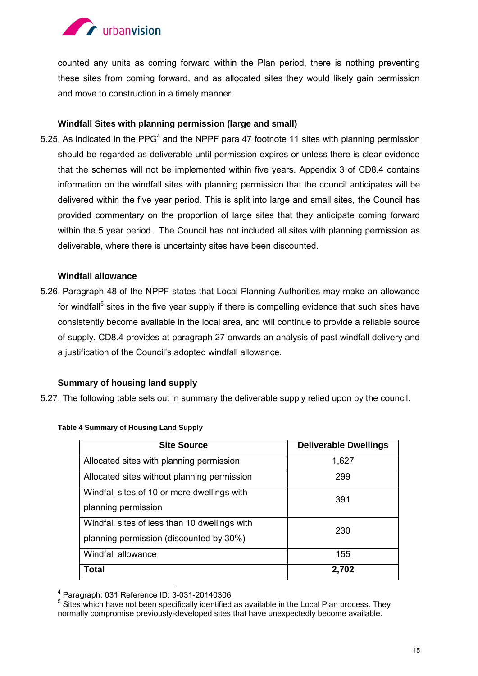

counted any units as coming forward within the Plan period, there is nothing preventing these sites from coming forward, and as allocated sites they would likely gain permission and move to construction in a timely manner.

### **Windfall Sites with planning permission (large and small)**

5.25. As indicated in the PPG<sup>4</sup> and the NPPF para 47 footnote 11 sites with planning permission should be regarded as deliverable until permission expires or unless there is clear evidence that the schemes will not be implemented within five years. Appendix 3 of CD8.4 contains information on the windfall sites with planning permission that the council anticipates will be delivered within the five year period. This is split into large and small sites, the Council has provided commentary on the proportion of large sites that they anticipate coming forward within the 5 year period. The Council has not included all sites with planning permission as deliverable, where there is uncertainty sites have been discounted.

### **Windfall allowance**

5.26. Paragraph 48 of the NPPF states that Local Planning Authorities may make an allowance for windfall<sup>5</sup> sites in the five year supply if there is compelling evidence that such sites have consistently become available in the local area, and will continue to provide a reliable source of supply. CD8.4 provides at paragraph 27 onwards an analysis of past windfall delivery and a justification of the Council's adopted windfall allowance.

### **Summary of housing land supply**

5.27. The following table sets out in summary the deliverable supply relied upon by the council.

| <b>Site Source</b>                            | <b>Deliverable Dwellings</b> |  |
|-----------------------------------------------|------------------------------|--|
| Allocated sites with planning permission      | 1,627                        |  |
| Allocated sites without planning permission   | 299                          |  |
| Windfall sites of 10 or more dwellings with   | 391                          |  |
| planning permission                           |                              |  |
| Windfall sites of less than 10 dwellings with | 230                          |  |
| planning permission (discounted by 30%)       |                              |  |
| Windfall allowance                            | 155                          |  |
| Total                                         | 2,702                        |  |

### **Table 4 Summary of Housing Land Supply**

 4 Paragraph: 031 Reference ID: 3-031-20140306

<sup>&</sup>lt;sup>5</sup> Sites which have not been specifically identified as available in the Local Plan process. They normally compromise previously-developed sites that have unexpectedly become available.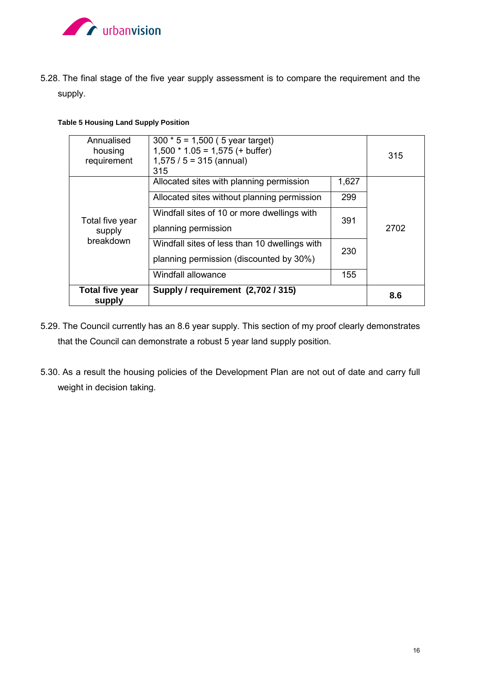

5.28. The final stage of the five year supply assessment is to compare the requirement and the supply.

### **Table 5 Housing Land Supply Position**

| <b>Total five year</b><br>supply | Supply / requirement (2,702 / 315)            |       | 8.6  |
|----------------------------------|-----------------------------------------------|-------|------|
|                                  | Windfall allowance                            | 155   |      |
|                                  | planning permission (discounted by 30%)       |       |      |
| breakdown                        | Windfall sites of less than 10 dwellings with | 230   | 2702 |
| supply                           | planning permission                           |       |      |
| Total five year                  | Windfall sites of 10 or more dwellings with   | 391   |      |
|                                  | Allocated sites without planning permission   | 299   |      |
|                                  | Allocated sites with planning permission      | 1,627 |      |
| requirement                      | $1,575 / 5 = 315$ (annual)<br>315             |       |      |
| housing                          | $1,500 * 1.05 = 1,575 (+ buffer)$             |       | 315  |
| Annualised                       | $300 * 5 = 1,500$ (5 year target)             |       |      |

- 5.29. The Council currently has an 8.6 year supply. This section of my proof clearly demonstrates that the Council can demonstrate a robust 5 year land supply position.
- 5.30. As a result the housing policies of the Development Plan are not out of date and carry full weight in decision taking.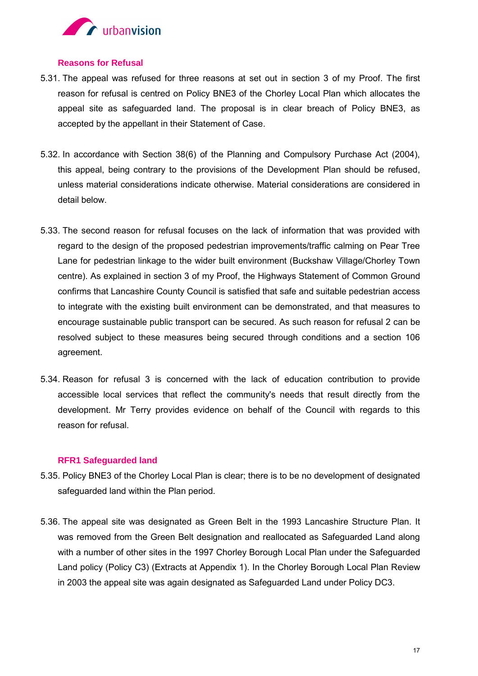

### **Reasons for Refusal**

- 5.31. The appeal was refused for three reasons at set out in section 3 of my Proof. The first reason for refusal is centred on Policy BNE3 of the Chorley Local Plan which allocates the appeal site as safeguarded land. The proposal is in clear breach of Policy BNE3, as accepted by the appellant in their Statement of Case.
- 5.32. In accordance with Section 38(6) of the Planning and Compulsory Purchase Act (2004), this appeal, being contrary to the provisions of the Development Plan should be refused, unless material considerations indicate otherwise. Material considerations are considered in detail below.
- 5.33. The second reason for refusal focuses on the lack of information that was provided with regard to the design of the proposed pedestrian improvements/traffic calming on Pear Tree Lane for pedestrian linkage to the wider built environment (Buckshaw Village/Chorley Town centre). As explained in section 3 of my Proof, the Highways Statement of Common Ground confirms that Lancashire County Council is satisfied that safe and suitable pedestrian access to integrate with the existing built environment can be demonstrated, and that measures to encourage sustainable public transport can be secured. As such reason for refusal 2 can be resolved subject to these measures being secured through conditions and a section 106 agreement.
- 5.34. Reason for refusal 3 is concerned with the lack of education contribution to provide accessible local services that reflect the community's needs that result directly from the development. Mr Terry provides evidence on behalf of the Council with regards to this reason for refusal.

### **RFR1 Safeguarded land**

- 5.35. Policy BNE3 of the Chorley Local Plan is clear; there is to be no development of designated safeguarded land within the Plan period.
- 5.36. The appeal site was designated as Green Belt in the 1993 Lancashire Structure Plan. It was removed from the Green Belt designation and reallocated as Safeguarded Land along with a number of other sites in the 1997 Chorley Borough Local Plan under the Safeguarded Land policy (Policy C3) (Extracts at Appendix 1). In the Chorley Borough Local Plan Review in 2003 the appeal site was again designated as Safeguarded Land under Policy DC3.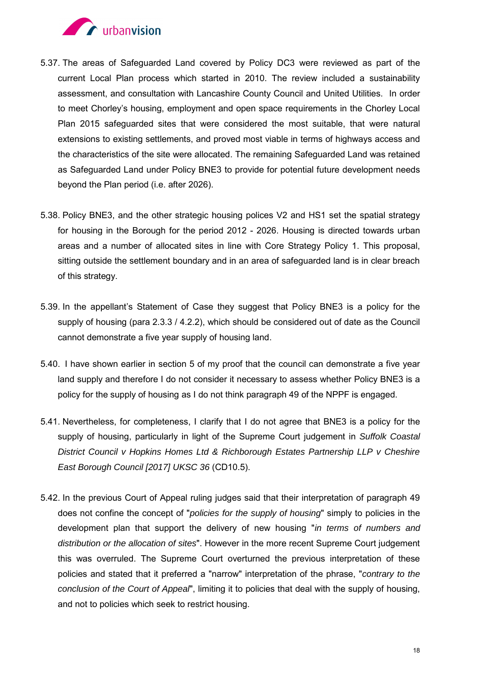

- 5.37. The areas of Safeguarded Land covered by Policy DC3 were reviewed as part of the current Local Plan process which started in 2010. The review included a sustainability assessment, and consultation with Lancashire County Council and United Utilities. In order to meet Chorley's housing, employment and open space requirements in the Chorley Local Plan 2015 safeguarded sites that were considered the most suitable, that were natural extensions to existing settlements, and proved most viable in terms of highways access and the characteristics of the site were allocated. The remaining Safeguarded Land was retained as Safeguarded Land under Policy BNE3 to provide for potential future development needs beyond the Plan period (i.e. after 2026).
- 5.38. Policy BNE3, and the other strategic housing polices V2 and HS1 set the spatial strategy for housing in the Borough for the period 2012 - 2026. Housing is directed towards urban areas and a number of allocated sites in line with Core Strategy Policy 1. This proposal, sitting outside the settlement boundary and in an area of safeguarded land is in clear breach of this strategy.
- 5.39. In the appellant's Statement of Case they suggest that Policy BNE3 is a policy for the supply of housing (para 2.3.3 / 4.2.2), which should be considered out of date as the Council cannot demonstrate a five year supply of housing land.
- 5.40. I have shown earlier in section 5 of my proof that the council can demonstrate a five year land supply and therefore I do not consider it necessary to assess whether Policy BNE3 is a policy for the supply of housing as I do not think paragraph 49 of the NPPF is engaged.
- 5.41. Nevertheless, for completeness, I clarify that I do not agree that BNE3 is a policy for the supply of housing, particularly in light of the Supreme Court judgement in *Suffolk Coastal District Council v Hopkins Homes Ltd & Richborough Estates Partnership LLP v Cheshire East Borough Council [2017] UKSC 36* (CD10.5).
- 5.42. In the previous Court of Appeal ruling judges said that their interpretation of paragraph 49 does not confine the concept of "*policies for the supply of housing*" simply to policies in the development plan that support the delivery of new housing "*in terms of numbers and distribution or the allocation of sites*". However in the more recent Supreme Court judgement this was overruled. The Supreme Court overturned the previous interpretation of these policies and stated that it preferred a "narrow" interpretation of the phrase, "*contrary to the conclusion of the Court of Appeal*", limiting it to policies that deal with the supply of housing, and not to policies which seek to restrict housing.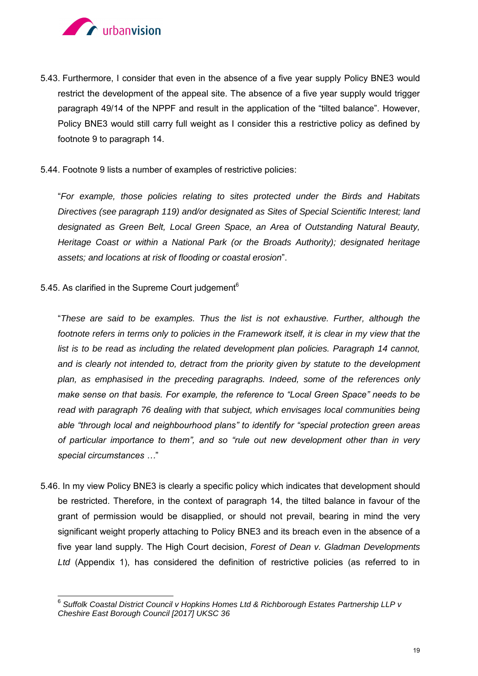

- 5.43. Furthermore, I consider that even in the absence of a five year supply Policy BNE3 would restrict the development of the appeal site. The absence of a five year supply would trigger paragraph 49/14 of the NPPF and result in the application of the "tilted balance". However, Policy BNE3 would still carry full weight as I consider this a restrictive policy as defined by footnote 9 to paragraph 14.
- 5.44. Footnote 9 lists a number of examples of restrictive policies:

"*For example, those policies relating to sites protected under the Birds and Habitats Directives (see paragraph 119) and/or designated as Sites of Special Scientific Interest; land designated as Green Belt, Local Green Space, an Area of Outstanding Natural Beauty, Heritage Coast or within a National Park (or the Broads Authority); designated heritage assets; and locations at risk of flooding or coastal erosion*".

5.45. As clarified in the Supreme Court judgement<sup> $6$ </sup>

"*These are said to be examples. Thus the list is not exhaustive. Further, although the footnote refers in terms only to policies in the Framework itself, it is clear in my view that the*  list is to be read as including the related development plan policies. Paragraph 14 cannot, *and is clearly not intended to, detract from the priority given by statute to the development plan, as emphasised in the preceding paragraphs. Indeed, some of the references only make sense on that basis. For example, the reference to "Local Green Space" needs to be*  read with paragraph 76 dealing with that subject, which envisages local communities being *able "through local and neighbourhood plans" to identify for "special protection green areas of particular importance to them", and so "rule out new development other than in very special circumstances …*"

5.46. In my view Policy BNE3 is clearly a specific policy which indicates that development should be restricted. Therefore, in the context of paragraph 14, the tilted balance in favour of the grant of permission would be disapplied, or should not prevail, bearing in mind the very significant weight properly attaching to Policy BNE3 and its breach even in the absence of a five year land supply. The High Court decision, *Forest of Dean v. Gladman Developments Ltd* (Appendix 1), has considered the definition of restrictive policies (as referred to in

 6 *Suffolk Coastal District Council v Hopkins Homes Ltd & Richborough Estates Partnership LLP v Cheshire East Borough Council [2017] UKSC 36*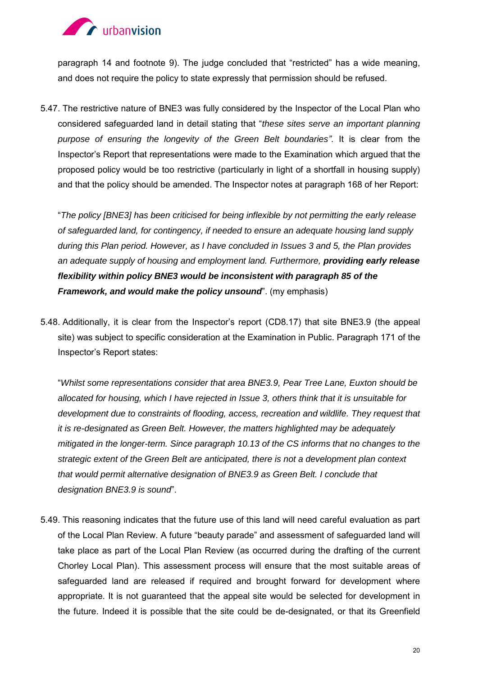

paragraph 14 and footnote 9). The judge concluded that "restricted" has a wide meaning, and does not require the policy to state expressly that permission should be refused.

5.47. The restrictive nature of BNE3 was fully considered by the Inspector of the Local Plan who considered safeguarded land in detail stating that "*these sites serve an important planning purpose of ensuring the longevity of the Green Belt boundaries"*. It is clear from the Inspector's Report that representations were made to the Examination which argued that the proposed policy would be too restrictive (particularly in light of a shortfall in housing supply) and that the policy should be amended. The Inspector notes at paragraph 168 of her Report:

"*The policy [BNE3] has been criticised for being inflexible by not permitting the early release of safeguarded land, for contingency, if needed to ensure an adequate housing land supply during this Plan period. However, as I have concluded in Issues 3 and 5, the Plan provides an adequate supply of housing and employment land. Furthermore, providing early release flexibility within policy BNE3 would be inconsistent with paragraph 85 of the Framework, and would make the policy unsound*". (my emphasis)

5.48. Additionally, it is clear from the Inspector's report (CD8.17) that site BNE3.9 (the appeal site) was subject to specific consideration at the Examination in Public. Paragraph 171 of the Inspector's Report states:

"*Whilst some representations consider that area BNE3.9, Pear Tree Lane, Euxton should be allocated for housing, which I have rejected in Issue 3, others think that it is unsuitable for development due to constraints of flooding, access, recreation and wildlife. They request that it is re-designated as Green Belt. However, the matters highlighted may be adequately mitigated in the longer-term. Since paragraph 10.13 of the CS informs that no changes to the strategic extent of the Green Belt are anticipated, there is not a development plan context that would permit alternative designation of BNE3.9 as Green Belt. I conclude that designation BNE3.9 is sound*".

5.49. This reasoning indicates that the future use of this land will need careful evaluation as part of the Local Plan Review. A future "beauty parade" and assessment of safeguarded land will take place as part of the Local Plan Review (as occurred during the drafting of the current Chorley Local Plan). This assessment process will ensure that the most suitable areas of safeguarded land are released if required and brought forward for development where appropriate. It is not guaranteed that the appeal site would be selected for development in the future. Indeed it is possible that the site could be de-designated, or that its Greenfield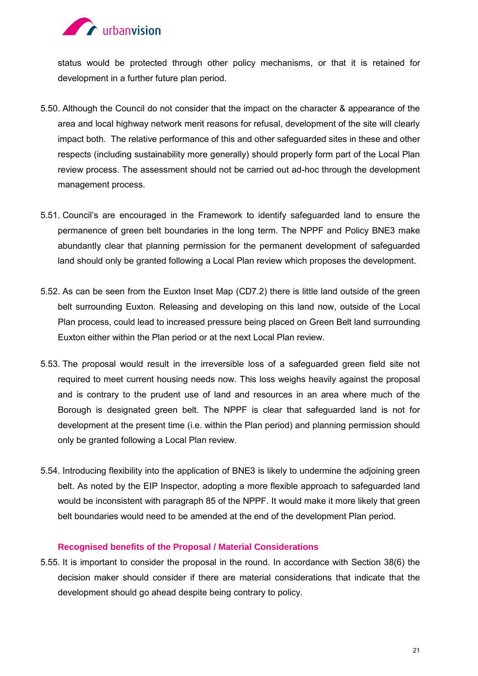

status would be protected through other policy mechanisms, or that it is retained for development in a further future plan period.

- 5.50. Although the Council do not consider that the impact on the character & appearance of the area and local highway network merit reasons for refusal, development of the site will clearly impact both. The relative performance of this and other safeguarded sites in these and other respects (including sustainability more generally) should properly form part of the Local Plan review process. The assessment should not be carried out ad-hoc through the development management process.
- 5.51. Council's are encouraged in the Framework to identify safeguarded land to ensure the permanence of green belt boundaries in the long term. The NPPF and Policy BNE3 make abundantly clear that planning permission for the permanent development of safeguarded land should only be granted following a Local Plan review which proposes the development.
- 5.52. As can be seen from the Euxton Inset Map (CD7.2) there is little land outside of the green belt surrounding Euxton. Releasing and developing on this land now, outside of the Local Plan process, could lead to increased pressure being placed on Green Belt land surrounding Euxton either within the Plan period or at the next Local Plan review.
- 5.53. The proposal would result in the irreversible loss of a safeguarded green field site not required to meet current housing needs now. This loss weighs heavily against the proposal and is contrary to the prudent use of land and resources in an area where much of the Borough is designated green belt. The NPPF is clear that safeguarded land is not for development at the present time (i.e. within the Plan period) and planning permission should only be granted following a Local Plan review.
- 5.54. Introducing flexibility into the application of BNE3 is likely to undermine the adjoining green belt. As noted by the EIP Inspector, adopting a more flexible approach to safeguarded land would be inconsistent with paragraph 85 of the NPPF. It would make it more likely that green belt boundaries would need to be amended at the end of the development Plan period.

### **Recognised benefits of the Proposal / Material Considerations**

5.55. It is important to consider the proposal in the round. In accordance with Section 38(6) the decision maker should consider if there are material considerations that indicate that the development should go ahead despite being contrary to policy.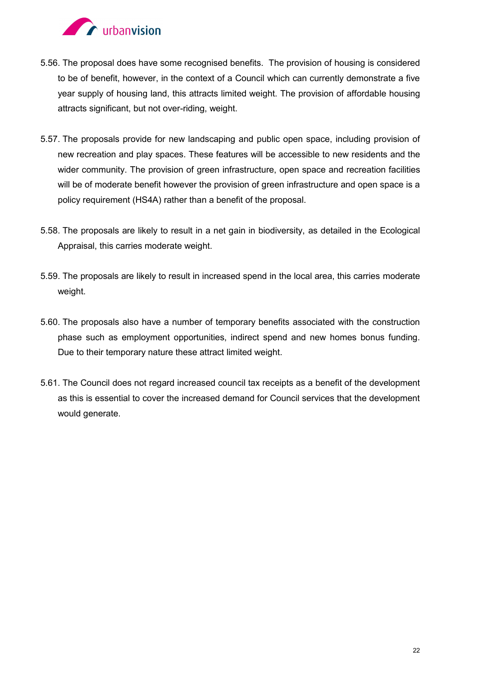

- 5.56. The proposal does have some recognised benefits. The provision of housing is considered to be of benefit, however, in the context of a Council which can currently demonstrate a five year supply of housing land, this attracts limited weight. The provision of affordable housing attracts significant, but not over-riding, weight.
- 5.57. The proposals provide for new landscaping and public open space, including provision of new recreation and play spaces. These features will be accessible to new residents and the wider community. The provision of green infrastructure, open space and recreation facilities will be of moderate benefit however the provision of green infrastructure and open space is a policy requirement (HS4A) rather than a benefit of the proposal.
- 5.58. The proposals are likely to result in a net gain in biodiversity, as detailed in the Ecological Appraisal, this carries moderate weight.
- 5.59. The proposals are likely to result in increased spend in the local area, this carries moderate weight.
- 5.60. The proposals also have a number of temporary benefits associated with the construction phase such as employment opportunities, indirect spend and new homes bonus funding. Due to their temporary nature these attract limited weight.
- 5.61. The Council does not regard increased council tax receipts as a benefit of the development as this is essential to cover the increased demand for Council services that the development would generate.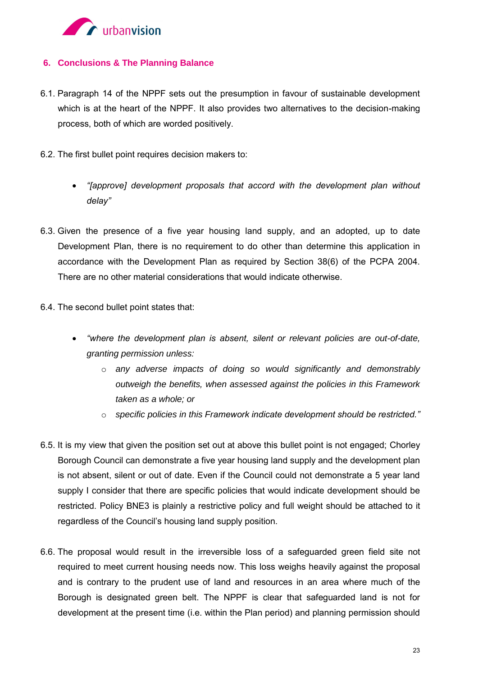

### **6. Conclusions & The Planning Balance**

- 6.1. Paragraph 14 of the NPPF sets out the presumption in favour of sustainable development which is at the heart of the NPPF. It also provides two alternatives to the decision-making process, both of which are worded positively.
- 6.2. The first bullet point requires decision makers to:
	- *"[approve] development proposals that accord with the development plan without delay"*
- 6.3. Given the presence of a five year housing land supply, and an adopted, up to date Development Plan, there is no requirement to do other than determine this application in accordance with the Development Plan as required by Section 38(6) of the PCPA 2004. There are no other material considerations that would indicate otherwise.
- 6.4. The second bullet point states that:
	- *"where the development plan is absent, silent or relevant policies are out-of-date, granting permission unless:* 
		- o *any adverse impacts of doing so would significantly and demonstrably outweigh the benefits, when assessed against the policies in this Framework taken as a whole; or*
		- o *specific policies in this Framework indicate development should be restricted."*
- 6.5. It is my view that given the position set out at above this bullet point is not engaged; Chorley Borough Council can demonstrate a five year housing land supply and the development plan is not absent, silent or out of date. Even if the Council could not demonstrate a 5 year land supply I consider that there are specific policies that would indicate development should be restricted. Policy BNE3 is plainly a restrictive policy and full weight should be attached to it regardless of the Council's housing land supply position.
- 6.6. The proposal would result in the irreversible loss of a safeguarded green field site not required to meet current housing needs now. This loss weighs heavily against the proposal and is contrary to the prudent use of land and resources in an area where much of the Borough is designated green belt. The NPPF is clear that safeguarded land is not for development at the present time (i.e. within the Plan period) and planning permission should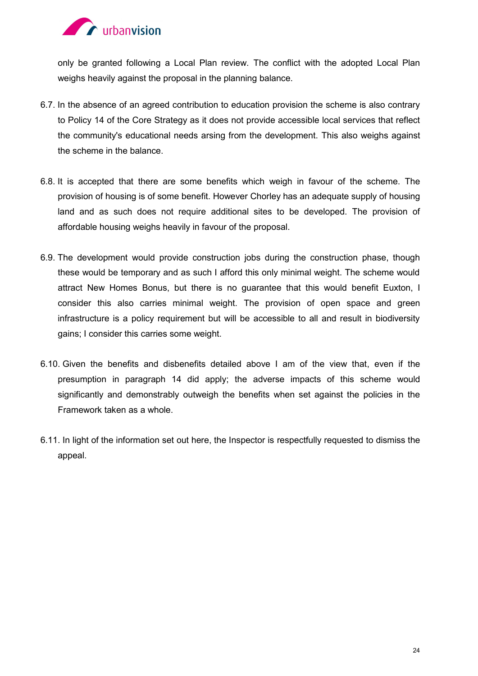

only be granted following a Local Plan review. The conflict with the adopted Local Plan weighs heavily against the proposal in the planning balance.

- 6.7. In the absence of an agreed contribution to education provision the scheme is also contrary to Policy 14 of the Core Strategy as it does not provide accessible local services that reflect the community's educational needs arsing from the development. This also weighs against the scheme in the balance.
- 6.8. It is accepted that there are some benefits which weigh in favour of the scheme. The provision of housing is of some benefit. However Chorley has an adequate supply of housing land and as such does not require additional sites to be developed. The provision of affordable housing weighs heavily in favour of the proposal.
- 6.9. The development would provide construction jobs during the construction phase, though these would be temporary and as such I afford this only minimal weight. The scheme would attract New Homes Bonus, but there is no guarantee that this would benefit Euxton, I consider this also carries minimal weight. The provision of open space and green infrastructure is a policy requirement but will be accessible to all and result in biodiversity gains; I consider this carries some weight.
- 6.10. Given the benefits and disbenefits detailed above I am of the view that, even if the presumption in paragraph 14 did apply; the adverse impacts of this scheme would significantly and demonstrably outweigh the benefits when set against the policies in the Framework taken as a whole.
- 6.11. In light of the information set out here, the Inspector is respectfully requested to dismiss the appeal.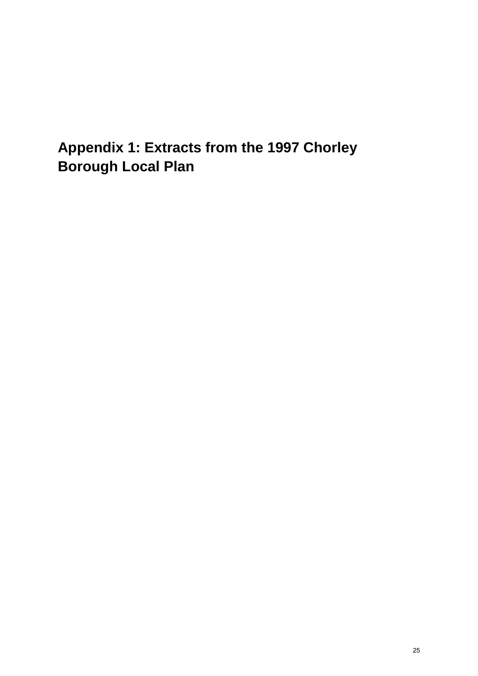# **Appendix 1: Extracts from the 1997 Chorley Borough Local Plan**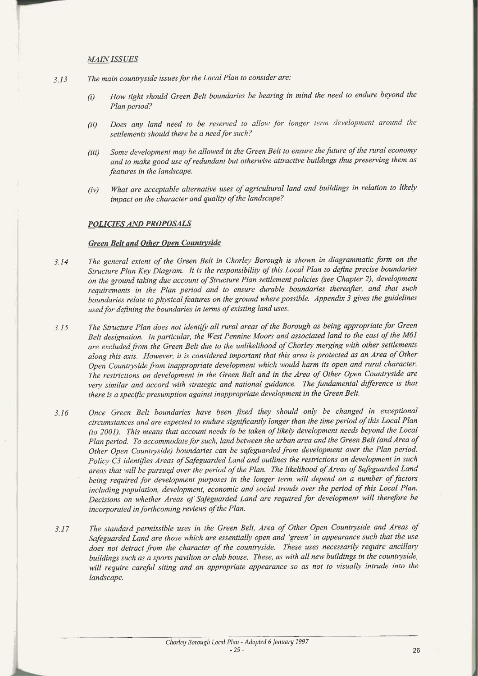#### **MAIN ISSUES**

 $~\lnot$ 

- 3.13 The main countryside issues for the Local Plan to consider are:
	- (i) How tight should Green Belt boundaries be bearing in mind the need to endure beyond the Plan period?
	- (ii) Does any land need to be reserved to allow for longer term development around the settlements should there be a need for such?
	- (iii) Some development may be allowed in the Green Belt to ensure the future of the rural economy and to make good use of redundant but otherwise attractive buildings thus preserving them as features in the landscape.
	- (iv) What are acceptable alternative uses of agricultural land and buildings in relation to likely impact on the character and quality of the landscape?

#### POLICIES AND PROPOSALS

#### Green Belt and Other Open Countryside

- 3.14 The general extent of the Green Belt in Chorley Borough is shown in diagrammatic form on the Structure Plan Key Diagram. It is the responsibility of this Local Plan to define precise boundaries on the ground taking due account of Structure Plan settlement policies (see Chapter 2), development requirements in the Plan period and to ensure durable boundaries thereafter, and that such boundaries relate to physical features on the ground where possible. Appendix 3 gives the guidelines used for defining the boundaries in terms of existing land uses.
- 3.15 The Structure Plan does not identify all rural areas of the Borough as being appropriate for Green Belt designation. In particular, the West Pennine Moors and associated land to the east of the M61 are excluded from the Green Belt due to the unlikelihood of Chorley merging with other settlements along this axis. However, it is considered important that this area is protected as an Area of Other Open Countryside from inappropriate development which would harm its open and rural character. The restrictions on development in the Green Belt and in the Area of Other Open Countryside are very similar and accord with strategic and national guidance. The fundamental difference is that there is a specific presumption against inappropriate development in the Green Belt.
- 3.16 Once Green Belt boundaries have been fixed they should only be changed in exceptional circumstances and are expected to endure significantly longer than the time period of this Local Plan (to 2001). This means that account needs to be taken of likely development needs beyond the Local Plan period. To accommodate for such, land between the urban area and the Green Belt (and Area of Other Open Countryside) boundaries can be safeguarded from development over the Plan period. Policy C3 identifies Areas of Safeguarded Land and outlines the restrictions on development in such areas that will be pursugd over the period of the Plan. The likelihood of Areas of Safeguarded Land being required for development purposes in the longer term will depend on a number of factors including population, development, economic and social trends over the period of this Local Plan. Decisions on whether Areas of Safeguarded Land are required for development will therefore be incorporated in forthcoming reviews of the Plan.
- 3.17 The standard permissible uses in the Green Belt, Area of Other Open Countryside and Areas of Safeguarded Land are those which are essentially open and `green' in appearance such that the use does not detract from the character of the countryside. These uses necessarily require ancillary buildings such as <sup>a</sup>sports pavilion or club house. These, as with all new buildings in the countryside, will require careful siting and an appropriate appearance so as not to visually intrude into the landscape.

26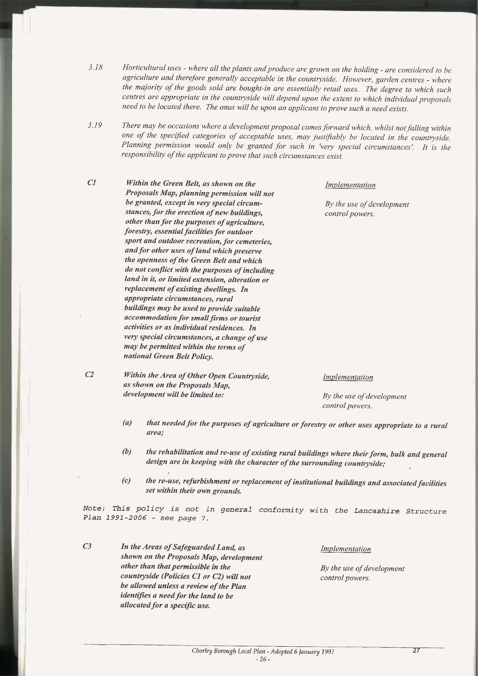- 3.18 Horticultural uses where all the plants and produce are grown on the holding are considered to be agriculture and therefore generally acceptable in the countryside. However, garden centres - where the majority of the goods sold are bought-in are essentially retail uses. The degree to which such centres are appropriate in the countryside will depend upon the extent to which individual proposals need to be located there. The onus will be upon an applicant to prove such a need exists.
- 3.19 There may be occasions where a development proposal comes forward which, whilst not falling within one of the specified categories of acceptable uses, may justifiably be located in the countryside. Planning permission would only be granted for such in 'very special circumstances'. It is the responsibility of the applicant to prove that such circumstances exist.
- C1 Within the Green Belt, as shown on the Implementation Proposals Map, planning permission will not be granted, except in very special circum-<br>By the use of development stances, for the erection of new buildings, control powers. other than for the purposes of agriculture, forestry, essential facilities for outdoor sport and outdoor recreation, for cemeteries, and for other uses of land which preserve the openness of the Green Belt and which do not conflict with the purposes of including land in it, or limited extension, alteration or replacement of existing dwellings. In appropriate circumstances, rural buildings may be used to provide suitable accommodation for small firms or tourist activities or as individual residences. In very special circumstances, a change of use may be permitted within the terms of national Green Belt Policy.
- C<sub>2</sub> Within the Area of Other Open Countryside, *Implementation* as shown on the Proposals Map, development will be limited to: By the use of development

control powers.

- $(a)$  that needed for the purposes of agriculture or forestry or other uses appropriate to a rural urea;
- (b) the rehabilitation and re-use of existing rural buildings where their form, bulk and general design are in keeping with the character of the surrounding countryside;
- (c) the re-use, refurbishment or replacement of institutional buildings and associated facilities set within their own grounds.

Note: This policy is not in general conformity with the Lancashire Structure Plan 1991-2006 - see page 7.

C3 In the Areas of Safeguarded Land, as *Implementation* shown on the Proposals Map, development other than that permissible in the  $B<sub>y</sub>$  the use of development countryside (Policies C1 or C2) will not control powers. be allowed unless a review of the Plan identifies a need for the land to be allocated for a specific use.

Chorley Borough Local Plan - Adopted 6 January 1997 -26 $\overline{27}$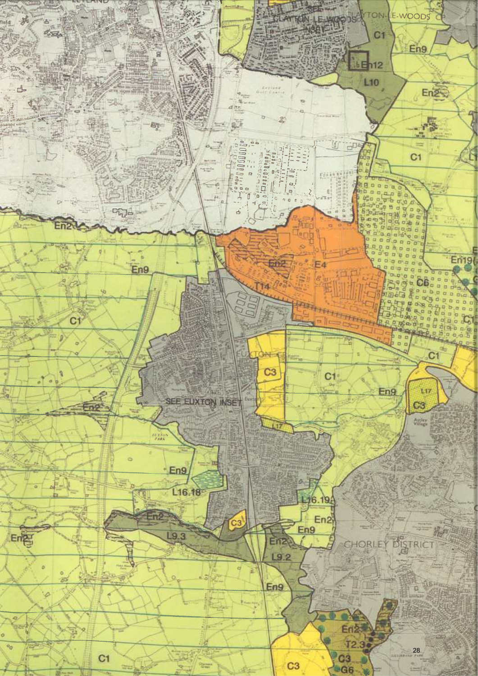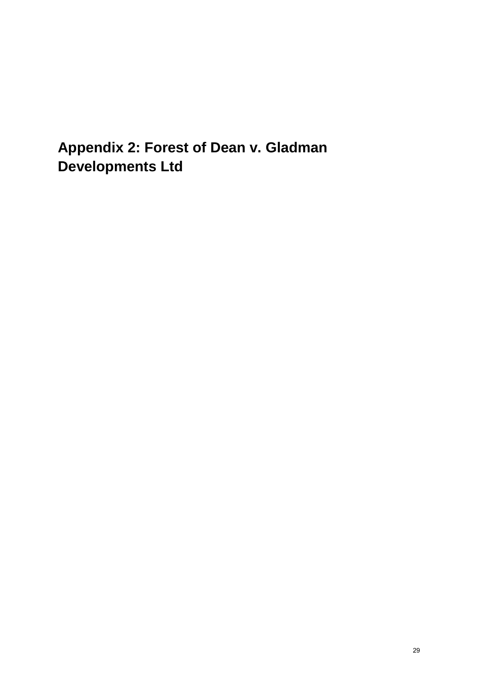**Appendix 2: Forest of Dean v. Gladman Developments Ltd**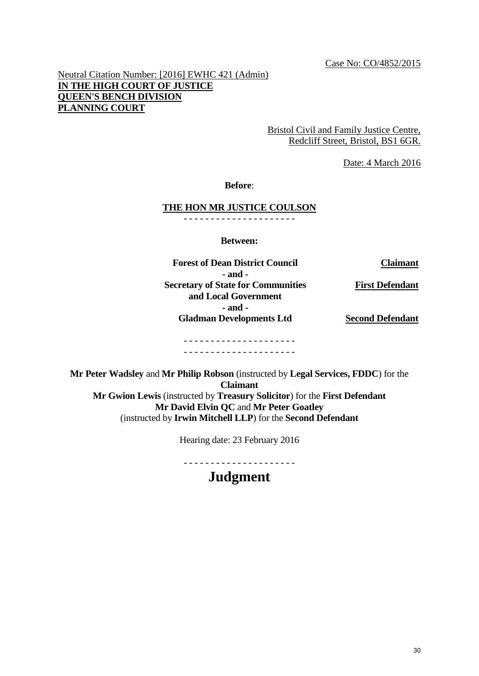Neutral Citation Number: [2016] EWHC 421 (Admin) **IN THE HIGH COURT OF JUSTICE QUEEN'S BENCH DIVISION PLANNING COURT**

> Bristol Civil and Family Justice Centre, Redcliff Street, Bristol, BS1 6GR.

> > Date: 4 March 2016

**Before**:

### **THE HON MR JUSTICE COULSON**

- - - - - - - - - - - - - - - - - - - - -

**Between:** 

**Forest of Dean District Council Claimant**

**- and - Secretary of State for Communities** 

**and Local Government - and - Gladman Developments Ltd** **First Defendant**

**Second Defendant**

#### - - - - - - - - - - - - - - - - - - - - - - - - - - - - - - - - - - - - - - - - - -

**Mr Peter Wadsley** and **Mr Philip Robson** (instructed by **Legal Services, FDDC**) for the **Claimant Mr Gwion Lewis** (instructed by **Treasury Solicitor**) for the **First Defendant Mr David Elvin QC** and **Mr Peter Goatley**  (instructed by **Irwin Mitchell LLP**) for the **Second Defendant**

Hearing date: 23 February 2016

- - - - - - - - - - - - - - - - - - - - -

## **Judgment**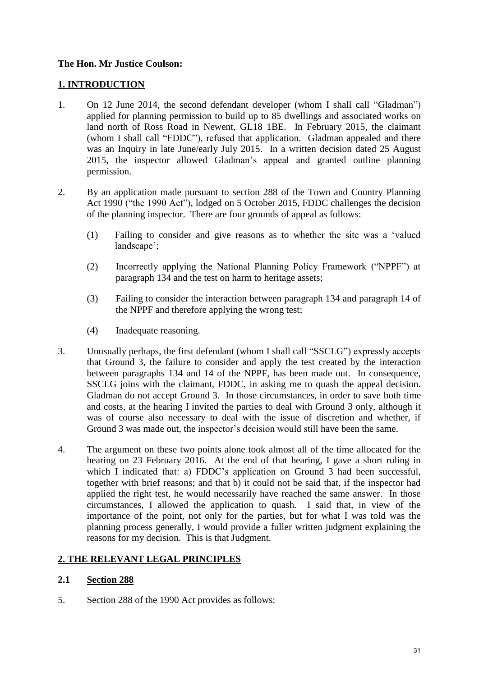### **The Hon. Mr Justice Coulson:**

### **1. INTRODUCTION**

- 1. On 12 June 2014, the second defendant developer (whom I shall call "Gladman") applied for planning permission to build up to 85 dwellings and associated works on land north of Ross Road in Newent, GL18 1BE. In February 2015, the claimant (whom I shall call "FDDC"), refused that application. Gladman appealed and there was an Inquiry in late June/early July 2015. In a written decision dated 25 August 2015, the inspector allowed Gladman's appeal and granted outline planning permission.
- 2. By an application made pursuant to section 288 of the Town and Country Planning Act 1990 ("the 1990 Act"), lodged on 5 October 2015, FDDC challenges the decision of the planning inspector. There are four grounds of appeal as follows:
	- (1) Failing to consider and give reasons as to whether the site was a 'valued landscape';
	- (2) Incorrectly applying the National Planning Policy Framework ("NPPF") at paragraph 134 and the test on harm to heritage assets;
	- (3) Failing to consider the interaction between paragraph 134 and paragraph 14 of the NPPF and therefore applying the wrong test;
	- (4) Inadequate reasoning.
- 3. Unusually perhaps, the first defendant (whom I shall call "SSCLG") expressly accepts that Ground 3, the failure to consider and apply the test created by the interaction between paragraphs 134 and 14 of the NPPF, has been made out. In consequence, SSCLG joins with the claimant, FDDC, in asking me to quash the appeal decision. Gladman do not accept Ground 3. In those circumstances, in order to save both time and costs, at the hearing I invited the parties to deal with Ground 3 only, although it was of course also necessary to deal with the issue of discretion and whether, if Ground 3 was made out, the inspector's decision would still have been the same.
- 4. The argument on these two points alone took almost all of the time allocated for the hearing on 23 February 2016. At the end of that hearing, I gave a short ruling in which I indicated that: a) FDDC's application on Ground 3 had been successful, together with brief reasons; and that b) it could not be said that, if the inspector had applied the right test, he would necessarily have reached the same answer. In those circumstances, I allowed the application to quash. I said that, in view of the importance of the point, not only for the parties, but for what I was told was the planning process generally, I would provide a fuller written judgment explaining the reasons for my decision. This is that Judgment.

### **2. THE RELEVANT LEGAL PRINCIPLES**

### **2.1 Section 288**

5. Section 288 of the 1990 Act provides as follows: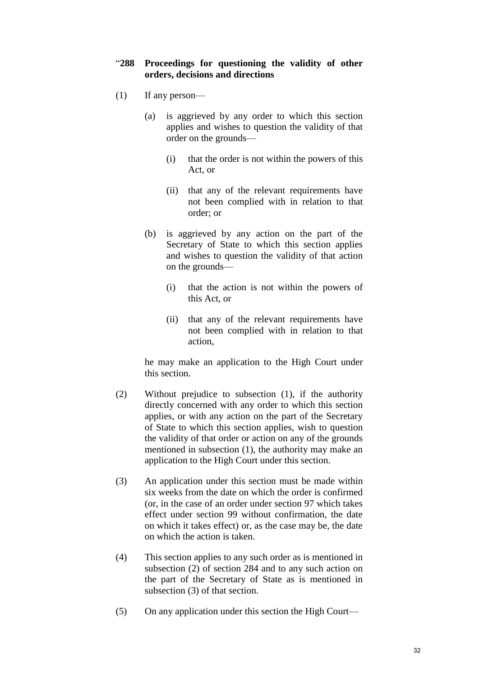### "**288 Proceedings for questioning the validity of other orders, decisions and directions**

- (1) If any person—
	- (a) is aggrieved by any order to which this section applies and wishes to question the validity of that order on the grounds—
		- (i) that the order is not within the powers of this Act, or
		- (ii) that any of the relevant requirements have not been complied with in relation to that order; or
	- (b) is aggrieved by any action on the part of the Secretary of State to which this section applies and wishes to question the validity of that action on the grounds—
		- (i) that the action is not within the powers of this Act, or
		- (ii) that any of the relevant requirements have not been complied with in relation to that action,

he may make an application to the High Court under this section.

- (2) Without prejudice to subsection (1), if the authority directly concerned with any order to which this section applies, or with any action on the part of the Secretary of State to which this section applies, wish to question the validity of that order or action on any of the grounds mentioned in subsection (1), the authority may make an application to the High Court under this section.
- (3) An application under this section must be made within six weeks from the date on which the order is confirmed (or, in the case of an order under section 97 which takes effect under section 99 without confirmation, the date on which it takes effect) or, as the case may be, the date on which the action is taken.
- (4) This section applies to any such order as is mentioned in subsection (2) of section 284 and to any such action on the part of the Secretary of State as is mentioned in subsection (3) of that section.
- (5) On any application under this section the High Court—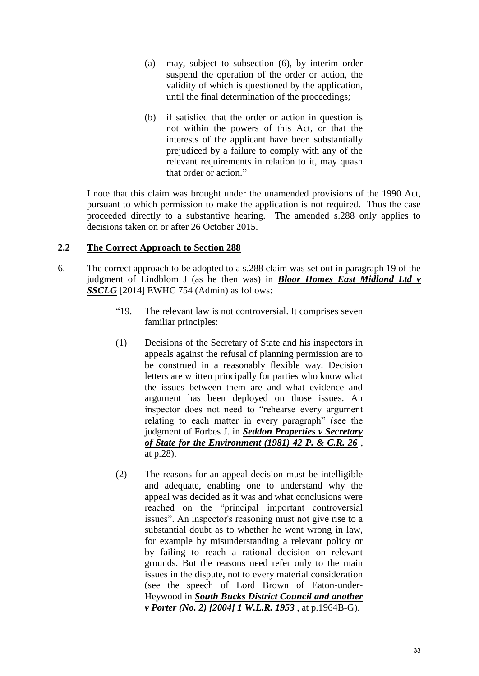- (a) may, subject to subsection (6), by interim order suspend the operation of the order or action, the validity of which is questioned by the application, until the final determination of the proceedings;
- (b) if satisfied that the order or action in question is not within the powers of this Act, or that the interests of the applicant have been substantially prejudiced by a failure to comply with any of the relevant requirements in relation to it, may quash that order or action."

I note that this claim was brought under the unamended provisions of the 1990 Act, pursuant to which permission to make the application is not required. Thus the case proceeded directly to a substantive hearing. The amended s.288 only applies to decisions taken on or after 26 October 2015.

### **2.2 The Correct Approach to Section 288**

- 6. The correct approach to be adopted to a s.288 claim was set out in paragraph 19 of the judgment of Lindblom J (as he then was) in *Bloor Homes East Midland Ltd v SSCLG* [2014] EWHC 754 (Admin) as follows:
	- "19. The relevant law is not controversial. It comprises seven familiar principles:
	- (1) Decisions of the Secretary of State and his inspectors in appeals against the refusal of planning permission are to be construed in a reasonably flexible way. Decision letters are written principally for parties who know what the issues between them are and what evidence and argument has been deployed on those issues. An inspector does not need to "rehearse every argument relating to each matter in every paragraph" (see the judgment of Forbes J. in *[Seddon Properties v Secretary](http://login.westlaw.co.uk/maf/wluk/app/document?src=doc&linktype=ref&context=21&crumb-action=replace&docguid=I9FDCBF80E42811DA8FC2A0F0355337E9)  [of State for the Environment \(1981\) 42 P. & C.R. 26](http://login.westlaw.co.uk/maf/wluk/app/document?src=doc&linktype=ref&context=21&crumb-action=replace&docguid=I9FDCBF80E42811DA8FC2A0F0355337E9)* , at p.28).
	- (2) The reasons for an appeal decision must be intelligible and adequate, enabling one to understand why the appeal was decided as it was and what conclusions were reached on the "principal important controversial issues". An inspector's reasoning must not give rise to a substantial doubt as to whether he went wrong in law, for example by misunderstanding a relevant policy or by failing to reach a rational decision on relevant grounds. But the reasons need refer only to the main issues in the dispute, not to every material consideration (see the speech of Lord Brown of Eaton-under-Heywood in *[South Bucks District Council and another](http://login.westlaw.co.uk/maf/wluk/app/document?src=doc&linktype=ref&context=21&crumb-action=replace&docguid=IB6FA1B40E42811DA8FC2A0F0355337E9)  [v Porter \(No. 2\) \[2004\] 1 W.L.R. 1953](http://login.westlaw.co.uk/maf/wluk/app/document?src=doc&linktype=ref&context=21&crumb-action=replace&docguid=IB6FA1B40E42811DA8FC2A0F0355337E9)* , at p.1964B-G).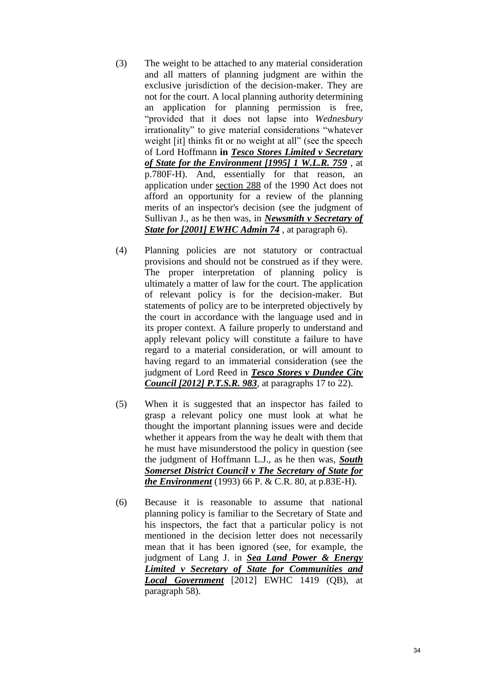- (3) The weight to be attached to any material consideration and all matters of planning judgment are within the exclusive jurisdiction of the decision-maker. They are not for the court. A local planning authority determining an application for planning permission is free, "provided that it does not lapse into *Wednesbury*  irrationality" to give material considerations "whatever weight [it] thinks fit or no weight at all" (see the speech of Lord Hoffmann **in** *[Tesco Stores Limited v Secretary](http://login.westlaw.co.uk/maf/wluk/app/document?src=doc&linktype=ref&context=21&crumb-action=replace&docguid=ICED19F41E42811DA8FC2A0F0355337E9)  [of State for the Environment \[1995\] 1 W.L.R. 759](http://login.westlaw.co.uk/maf/wluk/app/document?src=doc&linktype=ref&context=21&crumb-action=replace&docguid=ICED19F41E42811DA8FC2A0F0355337E9)* , at p.780F-H). And, essentially for that reason, an application under [section 288](http://login.westlaw.co.uk/maf/wluk/app/document?src=doc&linktype=ref&context=21&crumb-action=replace&docguid=I125049B0E44C11DA8D70A0E70A78ED65) of the 1990 Act does not afford an opportunity for a review of the planning merits of an inspector's decision (see the judgment of Sullivan J., as he then was, in *[Newsmith v Secretary of](http://login.westlaw.co.uk/maf/wluk/app/document?src=doc&linktype=ref&context=21&crumb-action=replace&docguid=I7E823C20E42811DA8FC2A0F0355337E9)  [State for \[2001\] EWHC Admin 74](http://login.westlaw.co.uk/maf/wluk/app/document?src=doc&linktype=ref&context=21&crumb-action=replace&docguid=I7E823C20E42811DA8FC2A0F0355337E9)* , at paragraph 6).
- (4) Planning policies are not statutory or contractual provisions and should not be construed as if they were. The proper interpretation of planning policy is ultimately a matter of law for the court. The application of relevant policy is for the decision-maker. But statements of policy are to be interpreted objectively by the court in accordance with the language used and in its proper context. A failure properly to understand and apply relevant policy will constitute a failure to have regard to a material consideration, or will amount to having regard to an immaterial consideration (see the judgment of Lord Reed in *[Tesco Stores v Dundee City](http://login.westlaw.co.uk/maf/wluk/app/document?src=doc&linktype=ref&context=21&crumb-action=replace&docguid=IBF08B670735111E1A4A8909252F0008B)  [Council \[2012\] P.T.S.R. 983](http://login.westlaw.co.uk/maf/wluk/app/document?src=doc&linktype=ref&context=21&crumb-action=replace&docguid=IBF08B670735111E1A4A8909252F0008B)*, at paragraphs 17 to 22).
- (5) When it is suggested that an inspector has failed to grasp a relevant policy one must look at what he thought the important planning issues were and decide whether it appears from the way he dealt with them that he must have misunderstood the policy in question (see the judgment of Hoffmann L.J., as he then was, *South Somerset District Council v The Secretary of State for the Environment* (1993) 66 P. & C.R. 80, at p.83E-H).
- (6) Because it is reasonable to assume that national planning policy is familiar to the Secretary of State and his inspectors, the fact that a particular policy is not mentioned in the decision letter does not necessarily mean that it has been ignored (see, for example, the judgment of Lang J. in *Sea Land Power & Energy Limited v Secretary of State for Communities and Local Government* [2012] EWHC 1419 (QB), at paragraph 58).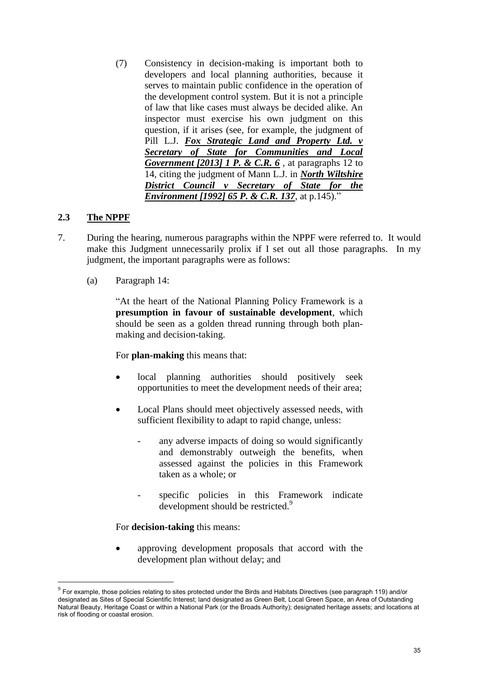(7) Consistency in decision-making is important both to developers and local planning authorities, because it serves to maintain public confidence in the operation of the development control system. But it is not a principle of law that like cases must always be decided alike. An inspector must exercise his own judgment on this question, if it arises (see, for example, the judgment of Pill L.J. *[Fox Strategic Land and Property Ltd. v](http://login.westlaw.co.uk/maf/wluk/app/document?src=doc&linktype=ref&context=21&crumb-action=replace&docguid=I6F7894E0D3AA11E197558AA3FC682B27)  [Secretary of State for Communities and Local](http://login.westlaw.co.uk/maf/wluk/app/document?src=doc&linktype=ref&context=21&crumb-action=replace&docguid=I6F7894E0D3AA11E197558AA3FC682B27)  [Government \[2013\] 1 P. & C.R. 6](http://login.westlaw.co.uk/maf/wluk/app/document?src=doc&linktype=ref&context=21&crumb-action=replace&docguid=I6F7894E0D3AA11E197558AA3FC682B27)* , at paragraphs 12 to 14, citing the judgment of Mann L.J. in *[North Wiltshire](http://login.westlaw.co.uk/maf/wluk/app/document?src=doc&linktype=ref&context=21&crumb-action=replace&docguid=I10F027D0E42811DA8FC2A0F0355337E9)  [District Council v Secretary of State for the](http://login.westlaw.co.uk/maf/wluk/app/document?src=doc&linktype=ref&context=21&crumb-action=replace&docguid=I10F027D0E42811DA8FC2A0F0355337E9)  [Environment \[1992\] 65 P. & C.R. 137](http://login.westlaw.co.uk/maf/wluk/app/document?src=doc&linktype=ref&context=21&crumb-action=replace&docguid=I10F027D0E42811DA8FC2A0F0355337E9)*, at p.145)."

### **2.3 The NPPF**

<u>.</u>

- 7. During the hearing, numerous paragraphs within the NPPF were referred to. It would make this Judgment unnecessarily prolix if I set out all those paragraphs. In my judgment, the important paragraphs were as follows:
	- (a) Paragraph 14:

"At the heart of the National Planning Policy Framework is a **presumption in favour of sustainable development**, which should be seen as a golden thread running through both planmaking and decision-taking.

For **plan-making** this means that:

- local planning authorities should positively seek opportunities to meet the development needs of their area;
- Local Plans should meet objectively assessed needs, with sufficient flexibility to adapt to rapid change, unless:
	- any adverse impacts of doing so would significantly and demonstrably outweigh the benefits, when assessed against the policies in this Framework taken as a whole; or
	- specific policies in this Framework indicate development should be restricted.<sup>9</sup>

<span id="page-35-0"></span>For **decision-taking** this means:

 approving development proposals that accord with the development plan without delay; and

 $^9$  For example, those policies relating to sites protected under the Birds and Habitats Directives (see paragraph 119) and/or designated as Sites of Special Scientific Interest; land designated as Green Belt, Local Green Space, an Area of Outstanding Natural Beauty, Heritage Coast or within a National Park (or the Broads Authority); designated heritage assets; and locations at risk of flooding or coastal erosion.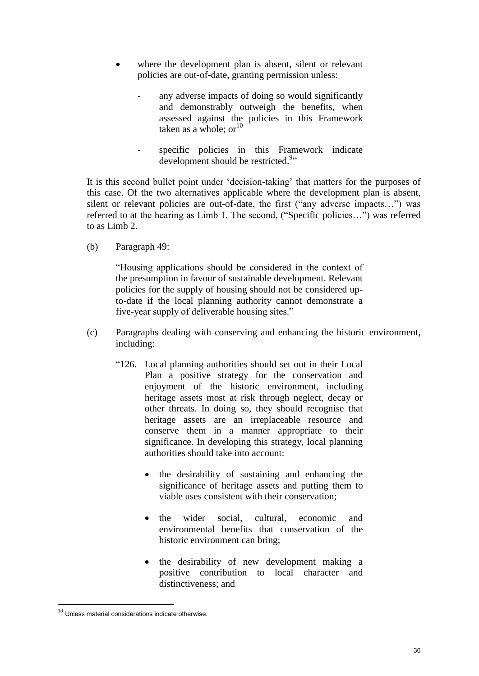- where the development plan is absent, silent or relevant policies are out-of-date, granting permission unless:
	- any adverse impacts of doing so would significantly and demonstrably outweigh the benefits, when assessed against the policies in this Framework taken as a whole:  $or<sup>10</sup>$
	- specific policies in this Framework indicate development should be restricted.<sup>[9](#page-35-0)</sup>"

It is this second bullet point under 'decision-taking' that matters for the purposes of this case. Of the two alternatives applicable where the development plan is absent, silent or relevant policies are out-of-date, the first ("any adverse impacts…") was referred to at the hearing as Limb 1. The second, ("Specific policies…") was referred to as Limb 2.

(b) Paragraph 49:

"Housing applications should be considered in the context of the presumption in favour of sustainable development. Relevant policies for the supply of housing should not be considered upto-date if the local planning authority cannot demonstrate a five-year supply of deliverable housing sites."

- (c) Paragraphs dealing with conserving and enhancing the historic environment, including:
	- "126. Local planning authorities should set out in their Local Plan a positive strategy for the conservation and enjoyment of the historic environment, including heritage assets most at risk through neglect, decay or other threats. In doing so, they should recognise that heritage assets are an irreplaceable resource and conserve them in a manner appropriate to their significance. In developing this strategy, local planning authorities should take into account:
		- the desirability of sustaining and enhancing the significance of heritage assets and putting them to viable uses consistent with their conservation;
		- the wider social, cultural, economic and environmental benefits that conservation of the historic environment can bring;
		- the desirability of new development making a positive contribution to local character and distinctiveness; and

1

 $10$  Unless material considerations indicate otherwise.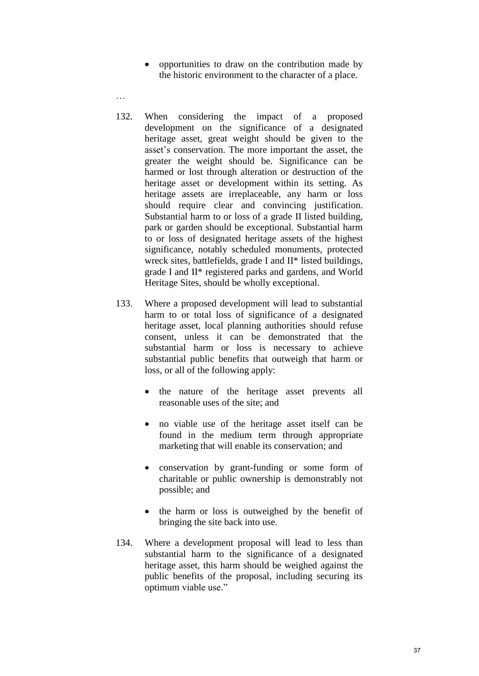opportunities to draw on the contribution made by the historic environment to the character of a place.

…

- 132. When considering the impact of a proposed development on the significance of a designated heritage asset, great weight should be given to the asset's conservation. The more important the asset, the greater the weight should be. Significance can be harmed or lost through alteration or destruction of the heritage asset or development within its setting. As heritage assets are irreplaceable, any harm or loss should require clear and convincing justification. Substantial harm to or loss of a grade II listed building, park or garden should be exceptional. Substantial harm to or loss of designated heritage assets of the highest significance, notably scheduled monuments, protected wreck sites, battlefields, grade I and II\* listed buildings, grade I and II\* registered parks and gardens, and World Heritage Sites, should be wholly exceptional.
- 133. Where a proposed development will lead to substantial harm to or total loss of significance of a designated heritage asset, local planning authorities should refuse consent, unless it can be demonstrated that the substantial harm or loss is necessary to achieve substantial public benefits that outweigh that harm or loss, or all of the following apply:
	- the nature of the heritage asset prevents all reasonable uses of the site; and
	- no viable use of the heritage asset itself can be found in the medium term through appropriate marketing that will enable its conservation; and
	- conservation by grant-funding or some form of charitable or public ownership is demonstrably not possible; and
	- the harm or loss is outweighed by the benefit of bringing the site back into use.
- 134. Where a development proposal will lead to less than substantial harm to the significance of a designated heritage asset, this harm should be weighed against the public benefits of the proposal, including securing its optimum viable use."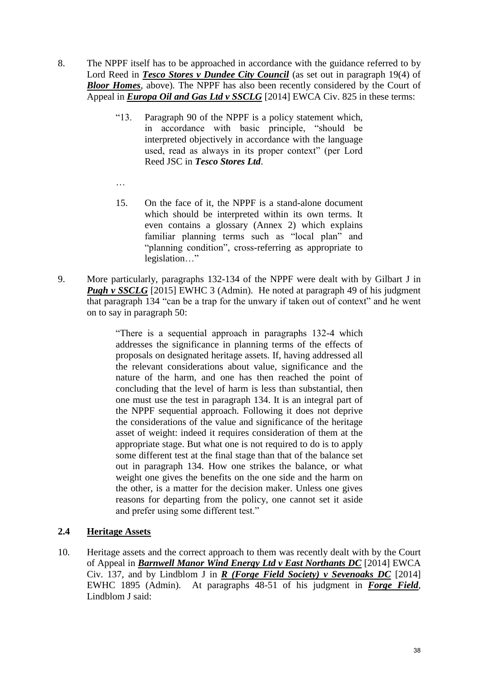- 8. The NPPF itself has to be approached in accordance with the guidance referred to by Lord Reed in *Tesco Stores v Dundee City Council* (as set out in paragraph 19(4) of *Bloor Homes*, above). The NPPF has also been recently considered by the Court of Appeal in *Europa Oil and Gas Ltd v SSCLG* [2014] EWCA Civ. 825 in these terms:
	- "13. Paragraph 90 of the NPPF is a policy statement which, in accordance with basic principle, "should be interpreted objectively in accordance with the language used, read as always in its proper context" (per Lord Reed JSC in *Tesco Stores Ltd*.
	- 15. On the face of it, the NPPF is a stand-alone document which should be interpreted within its own terms. It even contains a glossary (Annex 2) which explains familiar planning terms such as "local plan" and "planning condition", cross-referring as appropriate to legislation…"
- 9. More particularly, paragraphs 132-134 of the NPPF were dealt with by Gilbart J in *Pugh v SSCLG* [2015] EWHC 3 (Admin). He noted at paragraph 49 of his judgment that paragraph 134 "can be a trap for the unwary if taken out of context" and he went on to say in paragraph 50:

"There is a sequential approach in paragraphs 132-4 which addresses the significance in planning terms of the effects of proposals on designated heritage assets. If, having addressed all the relevant considerations about value, significance and the nature of the harm, and one has then reached the point of concluding that the level of harm is less than substantial, then one must use the test in paragraph 134. It is an integral part of the NPPF sequential approach. Following it does not deprive the considerations of the value and significance of the heritage asset of weight: indeed it requires consideration of them at the appropriate stage. But what one is not required to do is to apply some different test at the final stage than that of the balance set out in paragraph 134. How one strikes the balance, or what weight one gives the benefits on the one side and the harm on the other, is a matter for the decision maker. Unless one gives reasons for departing from the policy, one cannot set it aside and prefer using some different test."

### **2.4 Heritage Assets**

…

10. Heritage assets and the correct approach to them was recently dealt with by the Court of Appeal in *Barnwell Manor Wind Energy Ltd v East Northants DC* [2014] EWCA Civ. 137, and by Lindblom J in *R (Forge Field Society) v Sevenoaks DC* [2014] EWHC 1895 (Admin). At paragraphs 48-51 of his judgment in *Forge Field*, Lindblom J said: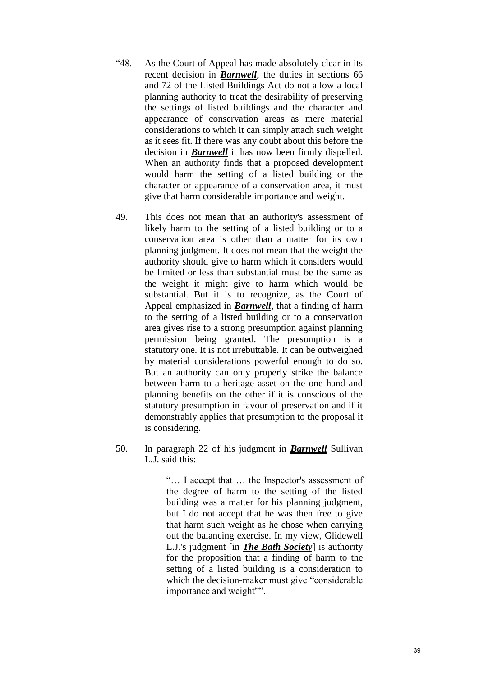- "48. As the Court of Appeal has made absolutely clear in its recent decision in *Barnwell*, the duties in [sections 66](http://login.westlaw.co.uk/maf/wluk/app/document?src=doc&linktype=ref&context=29&crumb-action=replace&docguid=I688AB530E44811DA8D70A0E70A78ED65)  [and 72 of the Listed Buildings Act](http://login.westlaw.co.uk/maf/wluk/app/document?src=doc&linktype=ref&context=29&crumb-action=replace&docguid=I688AB530E44811DA8D70A0E70A78ED65) do not allow a local planning authority to treat the desirability of preserving the settings of listed buildings and the character and appearance of conservation areas as mere material considerations to which it can simply attach such weight as it sees fit. If there was any doubt about this before the decision in *Barnwell* it has now been firmly dispelled. When an authority finds that a proposed development would harm the setting of a listed building or the character or appearance of a conservation area, it must give that harm considerable importance and weight.
- 49. This does not mean that an authority's assessment of likely harm to the setting of a listed building or to a conservation area is other than a matter for its own planning judgment. It does not mean that the weight the authority should give to harm which it considers would be limited or less than substantial must be the same as the weight it might give to harm which would be substantial. But it is to recognize, as the Court of Appeal emphasized in *Barnwell*, that a finding of harm to the setting of a listed building or to a conservation area gives rise to a strong presumption against planning permission being granted. The presumption is a statutory one. It is not irrebuttable. It can be outweighed by material considerations powerful enough to do so. But an authority can only properly strike the balance between harm to a heritage asset on the one hand and planning benefits on the other if it is conscious of the statutory presumption in favour of preservation and if it demonstrably applies that presumption to the proposal it is considering.
- 50. In paragraph 22 of his judgment in *Barnwell* Sullivan L.J. said this:

"… I accept that … the Inspector's assessment of the degree of harm to the setting of the listed building was a matter for his planning judgment, but I do not accept that he was then free to give that harm such weight as he chose when carrying out the balancing exercise. In my view, Glidewell L.J.'s judgment [in *The Bath Society*] is authority for the proposition that a finding of harm to the setting of a listed building is a consideration to which the decision-maker must give "considerable importance and weight"".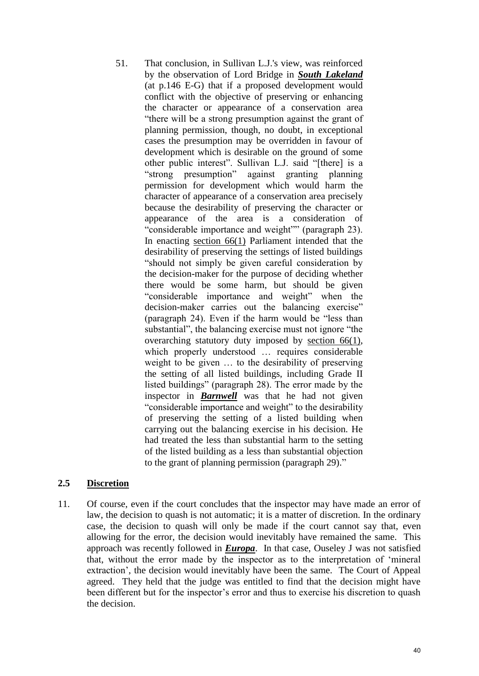51. That conclusion, in Sullivan L.J.'s view, was reinforced by the observation of Lord Bridge in *South Lakeland* (at p.146 E-G) that if a proposed development would conflict with the objective of preserving or enhancing the character or appearance of a conservation area "there will be a strong presumption against the grant of planning permission, though, no doubt, in exceptional cases the presumption may be overridden in favour of development which is desirable on the ground of some other public interest". Sullivan L.J. said "[there] is a "strong presumption" against granting planning permission for development which would harm the character of appearance of a conservation area precisely because the desirability of preserving the character or appearance of the area is a consideration of "considerable importance and weight"" (paragraph 23). In enacting [section 66\(1\)](http://login.westlaw.co.uk/maf/wluk/app/document?src=doc&linktype=ref&context=29&crumb-action=replace&docguid=I18E0E410E44C11DA8D70A0E70A78ED65) Parliament intended that the desirability of preserving the settings of listed buildings "should not simply be given careful consideration by the decision-maker for the purpose of deciding whether there would be some harm, but should be given "considerable importance and weight" when the decision-maker carries out the balancing exercise" (paragraph 24). Even if the harm would be "less than substantial", the balancing exercise must not ignore "the overarching statutory duty imposed by [section 66\(1\),](http://login.westlaw.co.uk/maf/wluk/app/document?src=doc&linktype=ref&context=29&crumb-action=replace&docguid=I18E0E410E44C11DA8D70A0E70A78ED65) which properly understood … requires considerable weight to be given … to the desirability of preserving the setting of all listed buildings, including Grade II listed buildings" (paragraph 28). The error made by the inspector in *Barnwell* was that he had not given "considerable importance and weight" to the desirability of preserving the setting of a listed building when carrying out the balancing exercise in his decision. He had treated the less than substantial harm to the setting of the listed building as a less than substantial objection to the grant of planning permission (paragraph 29)."

### **2.5 Discretion**

11. Of course, even if the court concludes that the inspector may have made an error of law, the decision to quash is not automatic; it is a matter of discretion. In the ordinary case, the decision to quash will only be made if the court cannot say that, even allowing for the error, the decision would inevitably have remained the same. This approach was recently followed in *Europa*. In that case, Ouseley J was not satisfied that, without the error made by the inspector as to the interpretation of 'mineral extraction', the decision would inevitably have been the same. The Court of Appeal agreed. They held that the judge was entitled to find that the decision might have been different but for the inspector's error and thus to exercise his discretion to quash the decision.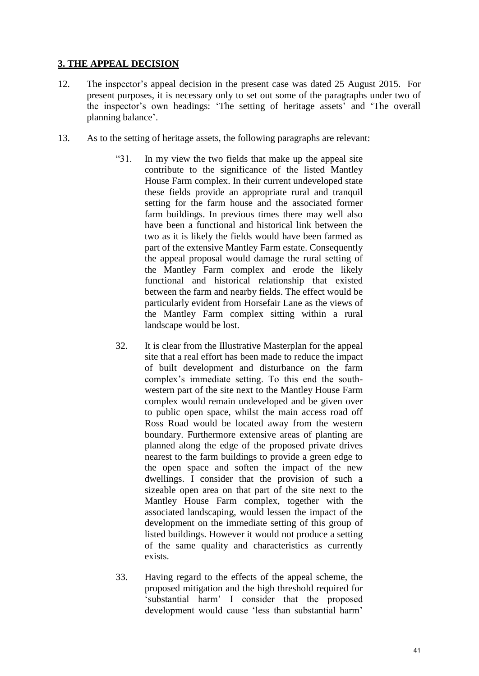### **3. THE APPEAL DECISION**

- 12. The inspector's appeal decision in the present case was dated 25 August 2015. For present purposes, it is necessary only to set out some of the paragraphs under two of the inspector's own headings: 'The setting of heritage assets' and 'The overall planning balance'.
- 13. As to the setting of heritage assets, the following paragraphs are relevant:
	- "31. In my view the two fields that make up the appeal site contribute to the significance of the listed Mantley House Farm complex. In their current undeveloped state these fields provide an appropriate rural and tranquil setting for the farm house and the associated former farm buildings. In previous times there may well also have been a functional and historical link between the two as it is likely the fields would have been farmed as part of the extensive Mantley Farm estate. Consequently the appeal proposal would damage the rural setting of the Mantley Farm complex and erode the likely functional and historical relationship that existed between the farm and nearby fields. The effect would be particularly evident from Horsefair Lane as the views of the Mantley Farm complex sitting within a rural landscape would be lost.
	- 32. It is clear from the Illustrative Masterplan for the appeal site that a real effort has been made to reduce the impact of built development and disturbance on the farm complex's immediate setting. To this end the southwestern part of the site next to the Mantley House Farm complex would remain undeveloped and be given over to public open space, whilst the main access road off Ross Road would be located away from the western boundary. Furthermore extensive areas of planting are planned along the edge of the proposed private drives nearest to the farm buildings to provide a green edge to the open space and soften the impact of the new dwellings. I consider that the provision of such a sizeable open area on that part of the site next to the Mantley House Farm complex, together with the associated landscaping, would lessen the impact of the development on the immediate setting of this group of listed buildings. However it would not produce a setting of the same quality and characteristics as currently exists.
	- 33. Having regard to the effects of the appeal scheme, the proposed mitigation and the high threshold required for 'substantial harm' I consider that the proposed development would cause 'less than substantial harm'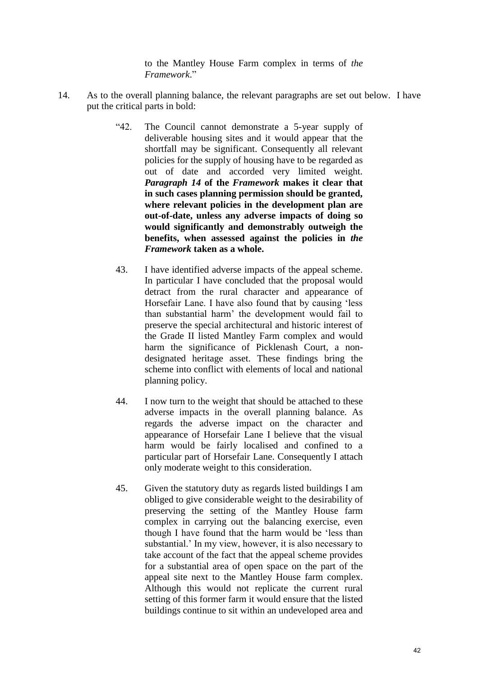to the Mantley House Farm complex in terms of *the Framework*."

- 14. As to the overall planning balance, the relevant paragraphs are set out below. I have put the critical parts in bold:
	- "42. The Council cannot demonstrate a 5-year supply of deliverable housing sites and it would appear that the shortfall may be significant. Consequently all relevant policies for the supply of housing have to be regarded as out of date and accorded very limited weight. *Paragraph 14* **of the** *Framework* **makes it clear that in such cases planning permission should be granted, where relevant policies in the development plan are out-of-date, unless any adverse impacts of doing so would significantly and demonstrably outweigh the benefits, when assessed against the policies in** *the Framework* **taken as a whole.**
	- 43. I have identified adverse impacts of the appeal scheme. In particular I have concluded that the proposal would detract from the rural character and appearance of Horsefair Lane. I have also found that by causing 'less than substantial harm' the development would fail to preserve the special architectural and historic interest of the Grade II listed Mantley Farm complex and would harm the significance of Picklenash Court, a nondesignated heritage asset. These findings bring the scheme into conflict with elements of local and national planning policy.
	- 44. I now turn to the weight that should be attached to these adverse impacts in the overall planning balance. As regards the adverse impact on the character and appearance of Horsefair Lane I believe that the visual harm would be fairly localised and confined to a particular part of Horsefair Lane. Consequently I attach only moderate weight to this consideration.
	- 45. Given the statutory duty as regards listed buildings I am obliged to give considerable weight to the desirability of preserving the setting of the Mantley House farm complex in carrying out the balancing exercise, even though I have found that the harm would be 'less than substantial.' In my view, however, it is also necessary to take account of the fact that the appeal scheme provides for a substantial area of open space on the part of the appeal site next to the Mantley House farm complex. Although this would not replicate the current rural setting of this former farm it would ensure that the listed buildings continue to sit within an undeveloped area and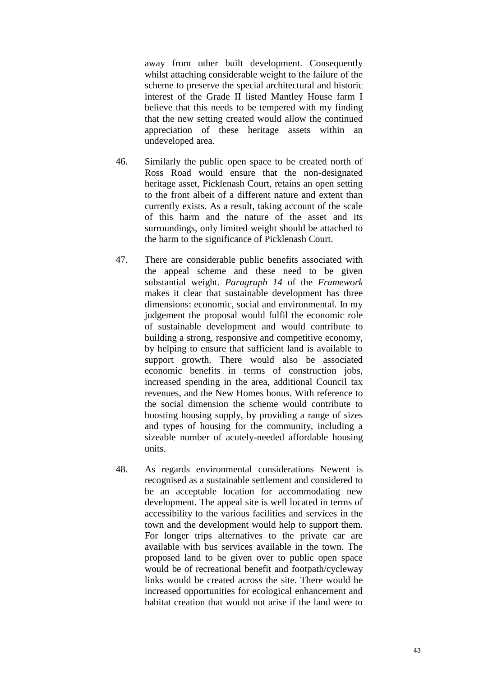away from other built development. Consequently whilst attaching considerable weight to the failure of the scheme to preserve the special architectural and historic interest of the Grade II listed Mantley House farm I believe that this needs to be tempered with my finding that the new setting created would allow the continued appreciation of these heritage assets within an undeveloped area.

- 46. Similarly the public open space to be created north of Ross Road would ensure that the non-designated heritage asset, Picklenash Court, retains an open setting to the front albeit of a different nature and extent than currently exists. As a result, taking account of the scale of this harm and the nature of the asset and its surroundings, only limited weight should be attached to the harm to the significance of Picklenash Court.
- 47. There are considerable public benefits associated with the appeal scheme and these need to be given substantial weight. *Paragraph 14* of the *Framework*  makes it clear that sustainable development has three dimensions: economic, social and environmental. In my judgement the proposal would fulfil the economic role of sustainable development and would contribute to building a strong, responsive and competitive economy, by helping to ensure that sufficient land is available to support growth. There would also be associated economic benefits in terms of construction jobs, increased spending in the area, additional Council tax revenues, and the New Homes bonus. With reference to the social dimension the scheme would contribute to boosting housing supply, by providing a range of sizes and types of housing for the community, including a sizeable number of acutely-needed affordable housing units.
- 48. As regards environmental considerations Newent is recognised as a sustainable settlement and considered to be an acceptable location for accommodating new development. The appeal site is well located in terms of accessibility to the various facilities and services in the town and the development would help to support them. For longer trips alternatives to the private car are available with bus services available in the town. The proposed land to be given over to public open space would be of recreational benefit and footpath/cycleway links would be created across the site. There would be increased opportunities for ecological enhancement and habitat creation that would not arise if the land were to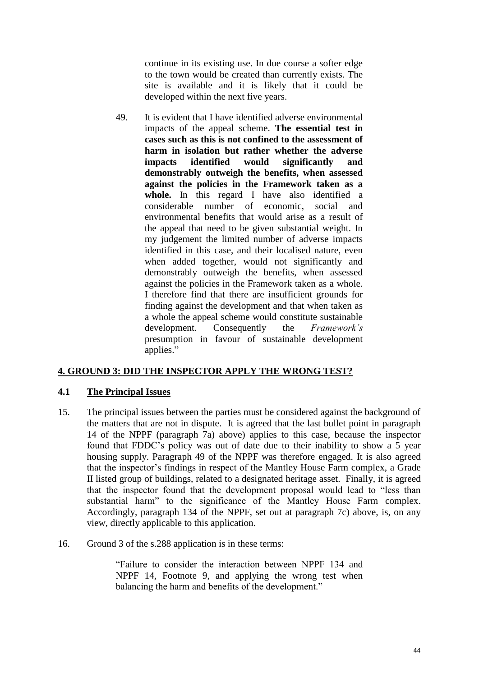continue in its existing use. In due course a softer edge to the town would be created than currently exists. The site is available and it is likely that it could be developed within the next five years.

49. It is evident that I have identified adverse environmental impacts of the appeal scheme. **The essential test in cases such as this is not confined to the assessment of harm in isolation but rather whether the adverse impacts identified would significantly and demonstrably outweigh the benefits, when assessed against the policies in the Framework taken as a whole.** In this regard I have also identified a considerable number of economic, social and environmental benefits that would arise as a result of the appeal that need to be given substantial weight. In my judgement the limited number of adverse impacts identified in this case, and their localised nature, even when added together, would not significantly and demonstrably outweigh the benefits, when assessed against the policies in the Framework taken as a whole. I therefore find that there are insufficient grounds for finding against the development and that when taken as a whole the appeal scheme would constitute sustainable development. Consequently the *Framework's*  presumption in favour of sustainable development applies."

### **4. GROUND 3: DID THE INSPECTOR APPLY THE WRONG TEST?**

### **4.1 The Principal Issues**

- 15. The principal issues between the parties must be considered against the background of the matters that are not in dispute. It is agreed that the last bullet point in paragraph 14 of the NPPF (paragraph 7a) above) applies to this case, because the inspector found that FDDC's policy was out of date due to their inability to show a 5 year housing supply. Paragraph 49 of the NPPF was therefore engaged. It is also agreed that the inspector's findings in respect of the Mantley House Farm complex, a Grade II listed group of buildings, related to a designated heritage asset. Finally, it is agreed that the inspector found that the development proposal would lead to "less than substantial harm" to the significance of the Mantley House Farm complex. Accordingly, paragraph 134 of the NPPF, set out at paragraph 7c) above, is, on any view, directly applicable to this application.
- 16. Ground 3 of the s.288 application is in these terms:

"Failure to consider the interaction between NPPF 134 and NPPF 14, Footnote 9, and applying the wrong test when balancing the harm and benefits of the development."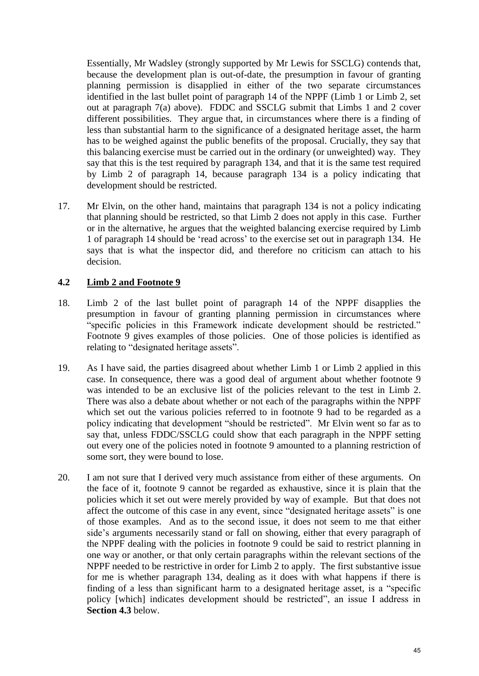Essentially, Mr Wadsley (strongly supported by Mr Lewis for SSCLG) contends that, because the development plan is out-of-date, the presumption in favour of granting planning permission is disapplied in either of the two separate circumstances identified in the last bullet point of paragraph 14 of the NPPF (Limb 1 or Limb 2, set out at paragraph 7(a) above). FDDC and SSCLG submit that Limbs 1 and 2 cover different possibilities. They argue that, in circumstances where there is a finding of less than substantial harm to the significance of a designated heritage asset, the harm has to be weighed against the public benefits of the proposal. Crucially, they say that this balancing exercise must be carried out in the ordinary (or unweighted) way. They say that this is the test required by paragraph 134, and that it is the same test required by Limb 2 of paragraph 14, because paragraph 134 is a policy indicating that development should be restricted.

17. Mr Elvin, on the other hand, maintains that paragraph 134 is not a policy indicating that planning should be restricted, so that Limb 2 does not apply in this case. Further or in the alternative, he argues that the weighted balancing exercise required by Limb 1 of paragraph 14 should be 'read across' to the exercise set out in paragraph 134. He says that is what the inspector did, and therefore no criticism can attach to his decision.

### **4.2 Limb 2 and Footnote 9**

- 18. Limb 2 of the last bullet point of paragraph 14 of the NPPF disapplies the presumption in favour of granting planning permission in circumstances where "specific policies in this Framework indicate development should be restricted." Footnote 9 gives examples of those policies. One of those policies is identified as relating to "designated heritage assets".
- 19. As I have said, the parties disagreed about whether Limb 1 or Limb 2 applied in this case. In consequence, there was a good deal of argument about whether footnote 9 was intended to be an exclusive list of the policies relevant to the test in Limb 2. There was also a debate about whether or not each of the paragraphs within the NPPF which set out the various policies referred to in footnote 9 had to be regarded as a policy indicating that development "should be restricted". Mr Elvin went so far as to say that, unless FDDC/SSCLG could show that each paragraph in the NPPF setting out every one of the policies noted in footnote 9 amounted to a planning restriction of some sort, they were bound to lose.
- 20. I am not sure that I derived very much assistance from either of these arguments. On the face of it, footnote 9 cannot be regarded as exhaustive, since it is plain that the policies which it set out were merely provided by way of example. But that does not affect the outcome of this case in any event, since "designated heritage assets" is one of those examples. And as to the second issue, it does not seem to me that either side's arguments necessarily stand or fall on showing, either that every paragraph of the NPPF dealing with the policies in footnote 9 could be said to restrict planning in one way or another, or that only certain paragraphs within the relevant sections of the NPPF needed to be restrictive in order for Limb 2 to apply. The first substantive issue for me is whether paragraph 134, dealing as it does with what happens if there is finding of a less than significant harm to a designated heritage asset, is a "specific policy [which] indicates development should be restricted", an issue I address in **Section 4.3** below.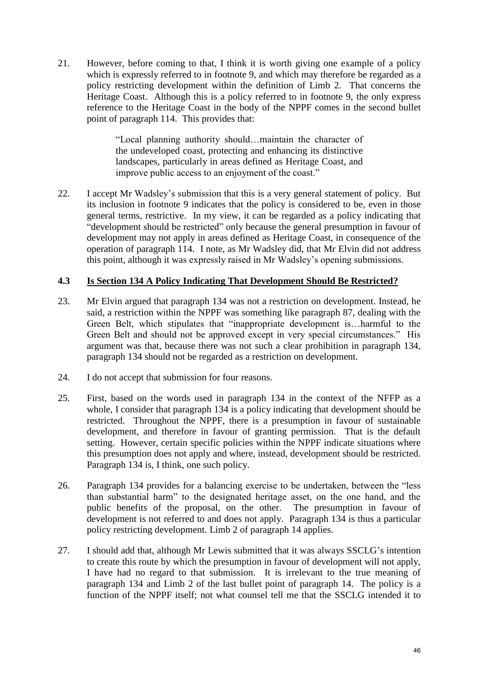21. However, before coming to that, I think it is worth giving one example of a policy which is expressly referred to in footnote 9, and which may therefore be regarded as a policy restricting development within the definition of Limb 2. That concerns the Heritage Coast. Although this is a policy referred to in footnote 9, the only express reference to the Heritage Coast in the body of the NPPF comes in the second bullet point of paragraph 114. This provides that:

> "Local planning authority should…maintain the character of the undeveloped coast, protecting and enhancing its distinctive landscapes, particularly in areas defined as Heritage Coast, and improve public access to an enjoyment of the coast."

22. I accept Mr Wadsley's submission that this is a very general statement of policy. But its inclusion in footnote 9 indicates that the policy is considered to be, even in those general terms, restrictive. In my view, it can be regarded as a policy indicating that "development should be restricted" only because the general presumption in favour of development may not apply in areas defined as Heritage Coast, in consequence of the operation of paragraph 114. I note, as Mr Wadsley did, that Mr Elvin did not address this point, although it was expressly raised in Mr Wadsley's opening submissions.

### **4.3 Is Section 134 A Policy Indicating That Development Should Be Restricted?**

- 23. Mr Elvin argued that paragraph 134 was not a restriction on development. Instead, he said, a restriction within the NPPF was something like paragraph 87, dealing with the Green Belt, which stipulates that "inappropriate development is…harmful to the Green Belt and should not be approved except in very special circumstances." His argument was that, because there was not such a clear prohibition in paragraph 134, paragraph 134 should not be regarded as a restriction on development.
- 24. I do not accept that submission for four reasons.
- 25. First, based on the words used in paragraph 134 in the context of the NFFP as a whole, I consider that paragraph 134 is a policy indicating that development should be restricted. Throughout the NPPF, there is a presumption in favour of sustainable development, and therefore in favour of granting permission. That is the default setting. However, certain specific policies within the NPPF indicate situations where this presumption does not apply and where, instead, development should be restricted. Paragraph 134 is, I think, one such policy.
- 26. Paragraph 134 provides for a balancing exercise to be undertaken, between the "less than substantial harm" to the designated heritage asset, on the one hand, and the public benefits of the proposal, on the other. The presumption in favour of development is not referred to and does not apply. Paragraph 134 is thus a particular policy restricting development. Limb 2 of paragraph 14 applies.
- 27. I should add that, although Mr Lewis submitted that it was always SSCLG's intention to create this route by which the presumption in favour of development will not apply, I have had no regard to that submission. It is irrelevant to the true meaning of paragraph 134 and Limb 2 of the last bullet point of paragraph 14. The policy is a function of the NPPF itself; not what counsel tell me that the SSCLG intended it to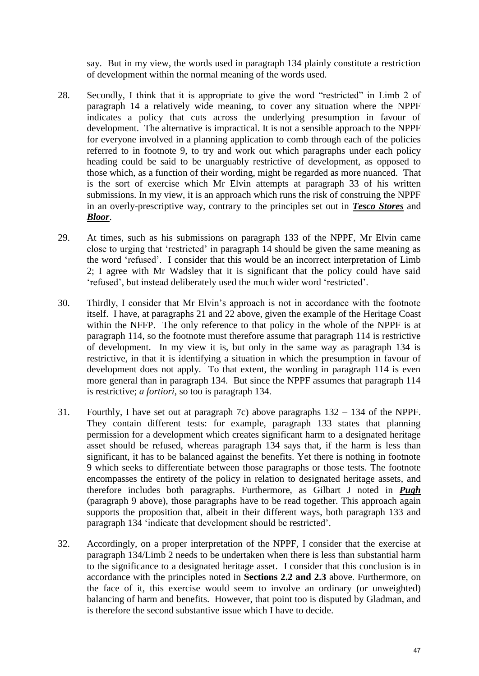say. But in my view, the words used in paragraph 134 plainly constitute a restriction of development within the normal meaning of the words used.

- 28. Secondly, I think that it is appropriate to give the word "restricted" in Limb 2 of paragraph 14 a relatively wide meaning, to cover any situation where the NPPF indicates a policy that cuts across the underlying presumption in favour of development. The alternative is impractical. It is not a sensible approach to the NPPF for everyone involved in a planning application to comb through each of the policies referred to in footnote 9, to try and work out which paragraphs under each policy heading could be said to be unarguably restrictive of development, as opposed to those which, as a function of their wording, might be regarded as more nuanced. That is the sort of exercise which Mr Elvin attempts at paragraph 33 of his written submissions. In my view, it is an approach which runs the risk of construing the NPPF in an overly-prescriptive way, contrary to the principles set out in *Tesco Stores* and *Bloor*.
- 29. At times, such as his submissions on paragraph 133 of the NPPF, Mr Elvin came close to urging that 'restricted' in paragraph 14 should be given the same meaning as the word 'refused'. I consider that this would be an incorrect interpretation of Limb 2; I agree with Mr Wadsley that it is significant that the policy could have said 'refused', but instead deliberately used the much wider word 'restricted'.
- 30. Thirdly, I consider that Mr Elvin's approach is not in accordance with the footnote itself. I have, at paragraphs 21 and 22 above, given the example of the Heritage Coast within the NFFP. The only reference to that policy in the whole of the NPPF is at paragraph 114, so the footnote must therefore assume that paragraph 114 is restrictive of development. In my view it is, but only in the same way as paragraph 134 is restrictive, in that it is identifying a situation in which the presumption in favour of development does not apply. To that extent, the wording in paragraph 114 is even more general than in paragraph 134. But since the NPPF assumes that paragraph 114 is restrictive; *a fortiori*, so too is paragraph 134.
- 31. Fourthly, I have set out at paragraph 7c) above paragraphs 132 134 of the NPPF. They contain different tests: for example, paragraph 133 states that planning permission for a development which creates significant harm to a designated heritage asset should be refused, whereas paragraph 134 says that, if the harm is less than significant, it has to be balanced against the benefits. Yet there is nothing in footnote 9 which seeks to differentiate between those paragraphs or those tests. The footnote encompasses the entirety of the policy in relation to designated heritage assets, and therefore includes both paragraphs. Furthermore, as Gilbart J noted in *Pugh* (paragraph 9 above), those paragraphs have to be read together. This approach again supports the proposition that, albeit in their different ways, both paragraph 133 and paragraph 134 'indicate that development should be restricted'.
- 32. Accordingly, on a proper interpretation of the NPPF, I consider that the exercise at paragraph 134/Limb 2 needs to be undertaken when there is less than substantial harm to the significance to a designated heritage asset. I consider that this conclusion is in accordance with the principles noted in **Sections 2.2 and 2.3** above. Furthermore, on the face of it, this exercise would seem to involve an ordinary (or unweighted) balancing of harm and benefits. However, that point too is disputed by Gladman, and is therefore the second substantive issue which I have to decide.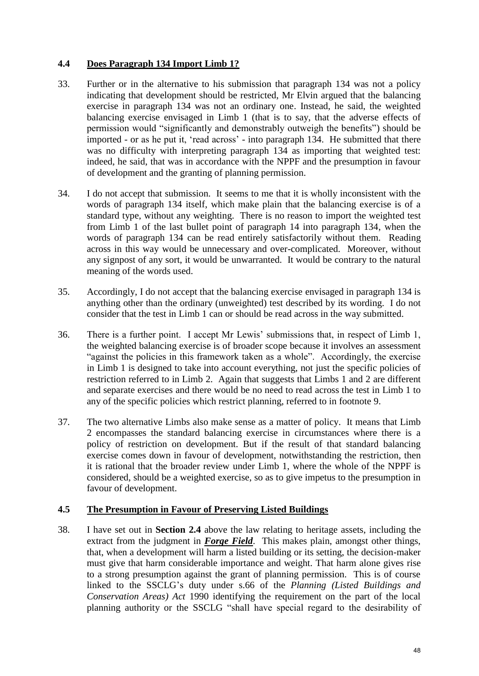### **4.4 Does Paragraph 134 Import Limb 1?**

- 33. Further or in the alternative to his submission that paragraph 134 was not a policy indicating that development should be restricted, Mr Elvin argued that the balancing exercise in paragraph 134 was not an ordinary one. Instead, he said, the weighted balancing exercise envisaged in Limb 1 (that is to say, that the adverse effects of permission would "significantly and demonstrably outweigh the benefits") should be imported - or as he put it, 'read across' - into paragraph 134. He submitted that there was no difficulty with interpreting paragraph 134 as importing that weighted test: indeed, he said, that was in accordance with the NPPF and the presumption in favour of development and the granting of planning permission.
- 34. I do not accept that submission. It seems to me that it is wholly inconsistent with the words of paragraph 134 itself, which make plain that the balancing exercise is of a standard type, without any weighting. There is no reason to import the weighted test from Limb 1 of the last bullet point of paragraph 14 into paragraph 134, when the words of paragraph 134 can be read entirely satisfactorily without them. Reading across in this way would be unnecessary and over-complicated. Moreover, without any signpost of any sort, it would be unwarranted. It would be contrary to the natural meaning of the words used.
- 35. Accordingly, I do not accept that the balancing exercise envisaged in paragraph 134 is anything other than the ordinary (unweighted) test described by its wording. I do not consider that the test in Limb 1 can or should be read across in the way submitted.
- 36. There is a further point. I accept Mr Lewis' submissions that, in respect of Limb 1, the weighted balancing exercise is of broader scope because it involves an assessment "against the policies in this framework taken as a whole". Accordingly, the exercise in Limb 1 is designed to take into account everything, not just the specific policies of restriction referred to in Limb 2. Again that suggests that Limbs 1 and 2 are different and separate exercises and there would be no need to read across the test in Limb 1 to any of the specific policies which restrict planning, referred to in footnote 9.
- 37. The two alternative Limbs also make sense as a matter of policy. It means that Limb 2 encompasses the standard balancing exercise in circumstances where there is a policy of restriction on development. But if the result of that standard balancing exercise comes down in favour of development, notwithstanding the restriction, then it is rational that the broader review under Limb 1, where the whole of the NPPF is considered, should be a weighted exercise, so as to give impetus to the presumption in favour of development.

### **4.5 The Presumption in Favour of Preserving Listed Buildings**

38. I have set out in **Section 2.4** above the law relating to heritage assets, including the extract from the judgment in *Forge Field*. This makes plain, amongst other things, that, when a development will harm a listed building or its setting, the decision-maker must give that harm considerable importance and weight. That harm alone gives rise to a strong presumption against the grant of planning permission. This is of course linked to the SSCLG's duty under s.66 of the *Planning (Listed Buildings and Conservation Areas) Act* 1990 identifying the requirement on the part of the local planning authority or the SSCLG "shall have special regard to the desirability of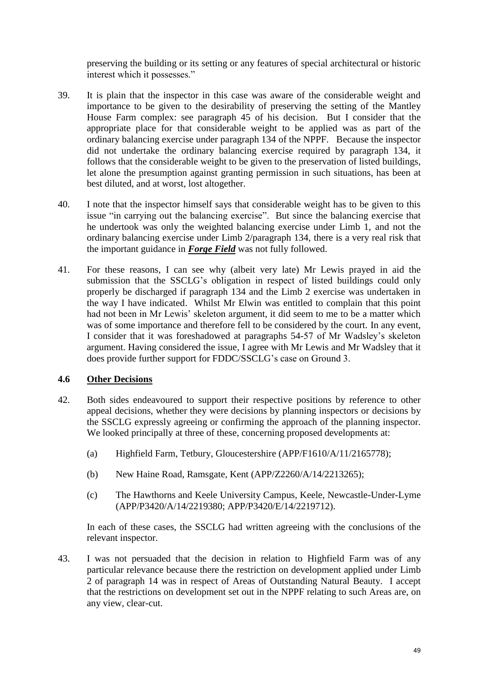preserving the building or its setting or any features of special architectural or historic interest which it possesses."

- 39. It is plain that the inspector in this case was aware of the considerable weight and importance to be given to the desirability of preserving the setting of the Mantley House Farm complex: see paragraph 45 of his decision. But I consider that the appropriate place for that considerable weight to be applied was as part of the ordinary balancing exercise under paragraph 134 of the NPPF. Because the inspector did not undertake the ordinary balancing exercise required by paragraph 134, it follows that the considerable weight to be given to the preservation of listed buildings, let alone the presumption against granting permission in such situations, has been at best diluted, and at worst, lost altogether.
- 40. I note that the inspector himself says that considerable weight has to be given to this issue "in carrying out the balancing exercise". But since the balancing exercise that he undertook was only the weighted balancing exercise under Limb 1, and not the ordinary balancing exercise under Limb 2/paragraph 134, there is a very real risk that the important guidance in *Forge Field* was not fully followed.
- 41. For these reasons, I can see why (albeit very late) Mr Lewis prayed in aid the submission that the SSCLG's obligation in respect of listed buildings could only properly be discharged if paragraph 134 and the Limb 2 exercise was undertaken in the way I have indicated. Whilst Mr Elwin was entitled to complain that this point had not been in Mr Lewis' skeleton argument, it did seem to me to be a matter which was of some importance and therefore fell to be considered by the court. In any event, I consider that it was foreshadowed at paragraphs 54-57 of Mr Wadsley's skeleton argument. Having considered the issue, I agree with Mr Lewis and Mr Wadsley that it does provide further support for FDDC/SSCLG's case on Ground 3.

### **4.6 Other Decisions**

- 42. Both sides endeavoured to support their respective positions by reference to other appeal decisions, whether they were decisions by planning inspectors or decisions by the SSCLG expressly agreeing or confirming the approach of the planning inspector. We looked principally at three of these, concerning proposed developments at:
	- (a) Highfield Farm, Tetbury, Gloucestershire (APP/F1610/A/11/2165778);
	- (b) New Haine Road, Ramsgate, Kent (APP/Z2260/A/14/2213265);
	- (c) The Hawthorns and Keele University Campus, Keele, Newcastle-Under-Lyme (APP/P3420/A/14/2219380; APP/P3420/E/14/2219712).

In each of these cases, the SSCLG had written agreeing with the conclusions of the relevant inspector.

43. I was not persuaded that the decision in relation to Highfield Farm was of any particular relevance because there the restriction on development applied under Limb 2 of paragraph 14 was in respect of Areas of Outstanding Natural Beauty. I accept that the restrictions on development set out in the NPPF relating to such Areas are, on any view, clear-cut.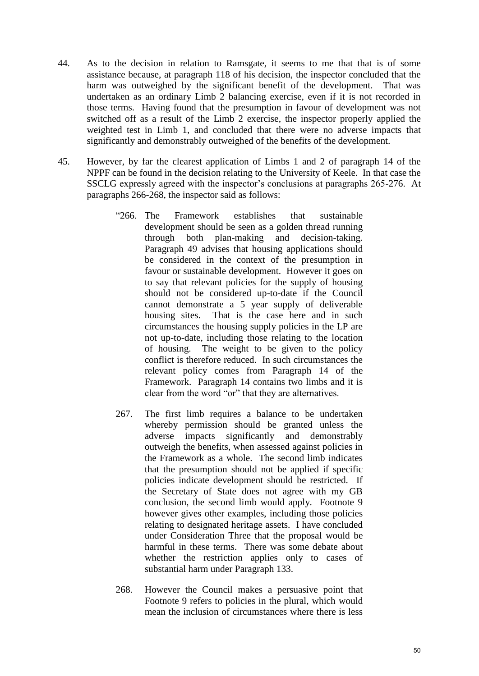- 44. As to the decision in relation to Ramsgate, it seems to me that that is of some assistance because, at paragraph 118 of his decision, the inspector concluded that the harm was outweighed by the significant benefit of the development. That was undertaken as an ordinary Limb 2 balancing exercise, even if it is not recorded in those terms. Having found that the presumption in favour of development was not switched off as a result of the Limb 2 exercise, the inspector properly applied the weighted test in Limb 1, and concluded that there were no adverse impacts that significantly and demonstrably outweighed of the benefits of the development.
- 45. However, by far the clearest application of Limbs 1 and 2 of paragraph 14 of the NPPF can be found in the decision relating to the University of Keele. In that case the SSCLG expressly agreed with the inspector's conclusions at paragraphs 265-276. At paragraphs 266-268, the inspector said as follows:
	- "266. The Framework establishes that sustainable development should be seen as a golden thread running through both plan-making and decision-taking. Paragraph 49 advises that housing applications should be considered in the context of the presumption in favour or sustainable development. However it goes on to say that relevant policies for the supply of housing should not be considered up-to-date if the Council cannot demonstrate a 5 year supply of deliverable housing sites. That is the case here and in such circumstances the housing supply policies in the LP are not up-to-date, including those relating to the location of housing. The weight to be given to the policy conflict is therefore reduced. In such circumstances the relevant policy comes from Paragraph 14 of the Framework. Paragraph 14 contains two limbs and it is clear from the word "or" that they are alternatives.
	- 267. The first limb requires a balance to be undertaken whereby permission should be granted unless the adverse impacts significantly and demonstrably outweigh the benefits, when assessed against policies in the Framework as a whole. The second limb indicates that the presumption should not be applied if specific policies indicate development should be restricted. If the Secretary of State does not agree with my GB conclusion, the second limb would apply. Footnote 9 however gives other examples, including those policies relating to designated heritage assets. I have concluded under Consideration Three that the proposal would be harmful in these terms. There was some debate about whether the restriction applies only to cases of substantial harm under Paragraph 133.
	- 268. However the Council makes a persuasive point that Footnote 9 refers to policies in the plural, which would mean the inclusion of circumstances where there is less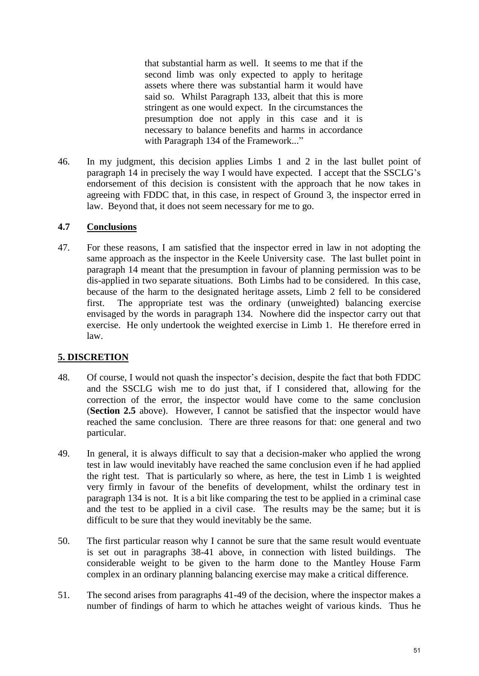that substantial harm as well. It seems to me that if the second limb was only expected to apply to heritage assets where there was substantial harm it would have said so. Whilst Paragraph 133, albeit that this is more stringent as one would expect. In the circumstances the presumption doe not apply in this case and it is necessary to balance benefits and harms in accordance with Paragraph 134 of the Framework..."

46. In my judgment, this decision applies Limbs 1 and 2 in the last bullet point of paragraph 14 in precisely the way I would have expected. I accept that the SSCLG's endorsement of this decision is consistent with the approach that he now takes in agreeing with FDDC that, in this case, in respect of Ground 3, the inspector erred in law. Beyond that, it does not seem necessary for me to go.

### **4.7 Conclusions**

47. For these reasons, I am satisfied that the inspector erred in law in not adopting the same approach as the inspector in the Keele University case. The last bullet point in paragraph 14 meant that the presumption in favour of planning permission was to be dis-applied in two separate situations. Both Limbs had to be considered. In this case, because of the harm to the designated heritage assets, Limb 2 fell to be considered first. The appropriate test was the ordinary (unweighted) balancing exercise envisaged by the words in paragraph 134. Nowhere did the inspector carry out that exercise. He only undertook the weighted exercise in Limb 1. He therefore erred in law.

### **5. DISCRETION**

- 48. Of course, I would not quash the inspector's decision, despite the fact that both FDDC and the SSCLG wish me to do just that, if I considered that, allowing for the correction of the error, the inspector would have come to the same conclusion (**Section 2.5** above). However, I cannot be satisfied that the inspector would have reached the same conclusion. There are three reasons for that: one general and two particular.
- 49. In general, it is always difficult to say that a decision-maker who applied the wrong test in law would inevitably have reached the same conclusion even if he had applied the right test. That is particularly so where, as here, the test in Limb 1 is weighted very firmly in favour of the benefits of development, whilst the ordinary test in paragraph 134 is not. It is a bit like comparing the test to be applied in a criminal case and the test to be applied in a civil case. The results may be the same; but it is difficult to be sure that they would inevitably be the same.
- 50. The first particular reason why I cannot be sure that the same result would eventuate is set out in paragraphs 38-41 above, in connection with listed buildings. The considerable weight to be given to the harm done to the Mantley House Farm complex in an ordinary planning balancing exercise may make a critical difference.
- 51. The second arises from paragraphs 41-49 of the decision, where the inspector makes a number of findings of harm to which he attaches weight of various kinds. Thus he